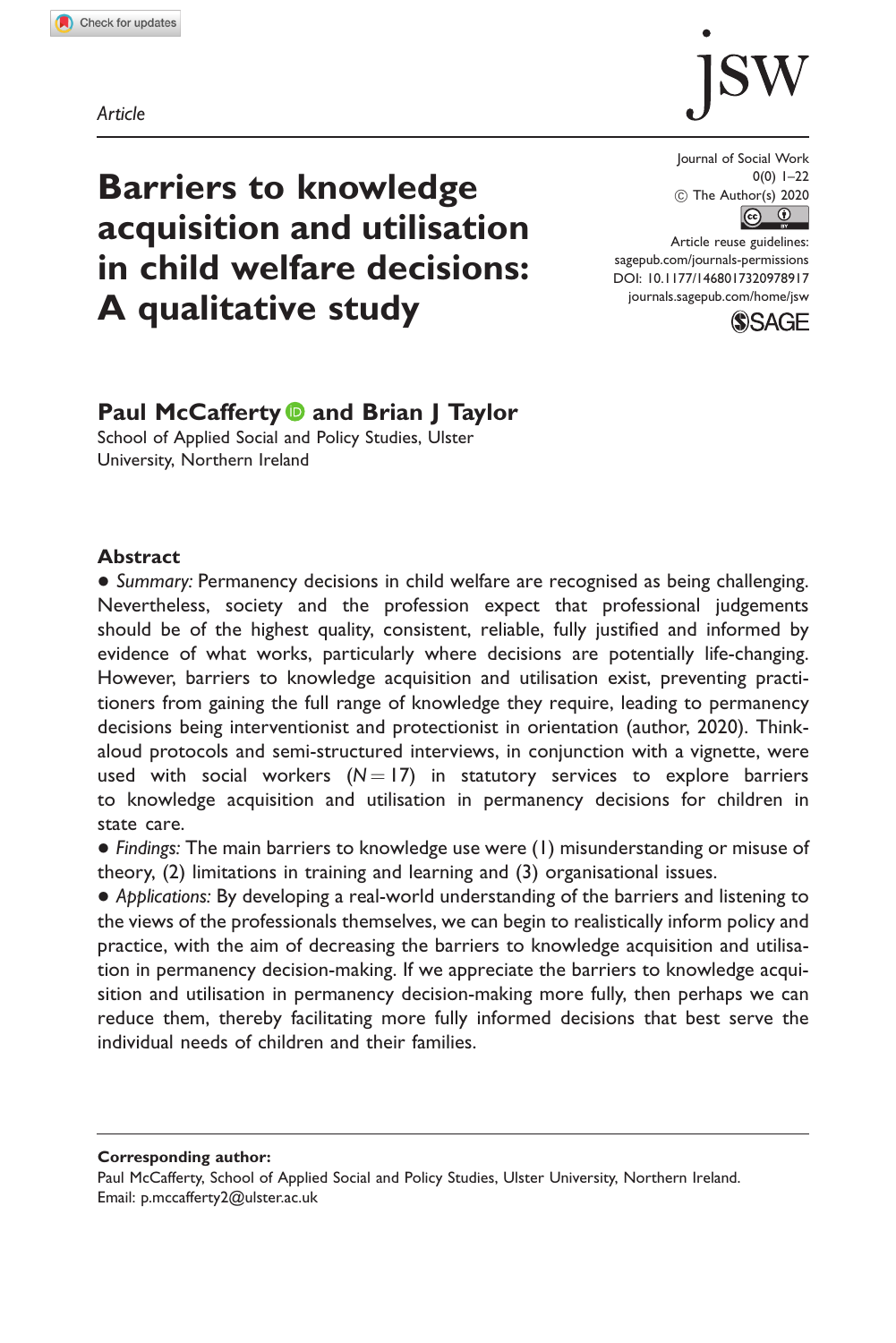Article



# Barriers to knowledge acquisition and utilisation in child welfare decisions: A qualitative study

Journal of Social Work 0(0) 1–22  $\circledcirc$  The Author(s) 2020  $\boxed{6}$  0

Article reuse guidelines: [sagepub.com/journals-permissions](http://uk.sagepub.com/en-gb/journals-permissions) [DOI: 10.1177/1468017320978917](http://dx.doi.org/10.1177/1468017320978917) <journals.sagepub.com/home/jsw>



# Paul McCafferty **D** and Brian J Taylor

School of Applied Social and Policy Studies, Ulster University, Northern Ireland

#### **Abstract**

• Summary: Permanency decisions in child welfare are recognised as being challenging. Nevertheless, society and the profession expect that professional judgements should be of the highest quality, consistent, reliable, fully justified and informed by evidence of what works, particularly where decisions are potentially life-changing. However, barriers to knowledge acquisition and utilisation exist, preventing practitioners from gaining the full range of knowledge they require, leading to permanency decisions being interventionist and protectionist in orientation (author, 2020). Thinkaloud protocols and semi-structured interviews, in conjunction with a vignette, were used with social workers  $(N = 17)$  in statutory services to explore barriers to knowledge acquisition and utilisation in permanency decisions for children in state care.

 Findings: The main barriers to knowledge use were (1) misunderstanding or misuse of theory, (2) limitations in training and learning and (3) organisational issues.

 Applications: By developing a real-world understanding of the barriers and listening to the views of the professionals themselves, we can begin to realistically inform policy and practice, with the aim of decreasing the barriers to knowledge acquisition and utilisation in permanency decision-making. If we appreciate the barriers to knowledge acquisition and utilisation in permanency decision-making more fully, then perhaps we can reduce them, thereby facilitating more fully informed decisions that best serve the individual needs of children and their families.

Corresponding author:

Paul McCafferty, School of Applied Social and Policy Studies, Ulster University, Northern Ireland. Email: [p.mccafferty2@ulster.ac.uk](mailto:p.mccafferty2@ulster.ac.uk)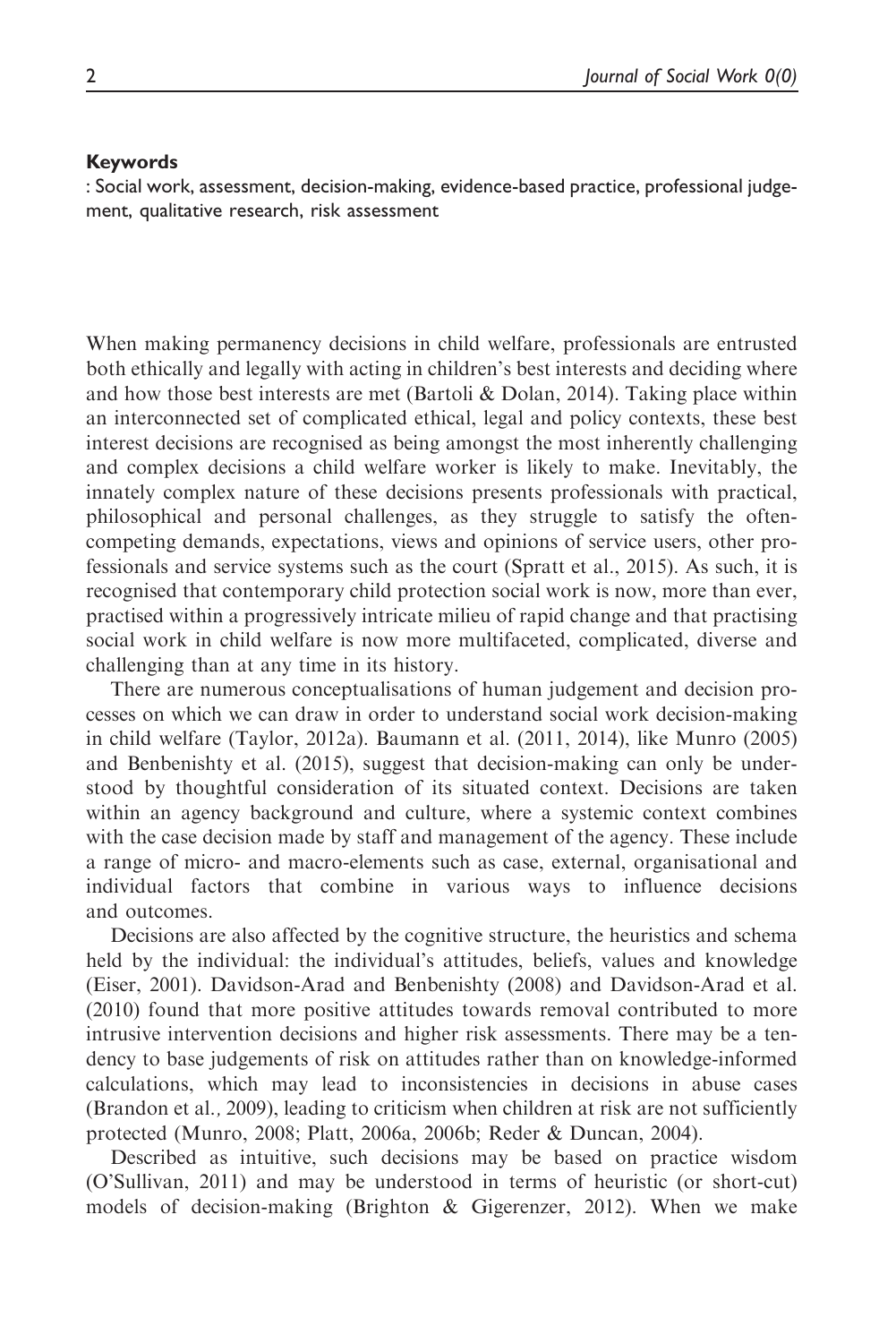#### Keywords

: Social work, assessment, decision-making, evidence-based practice, professional judgement, qualitative research, risk assessment

When making permanency decisions in child welfare, professionals are entrusted both ethically and legally with acting in children's best interests and deciding where and how those best interests are met (Bartoli & Dolan, 2014). Taking place within an interconnected set of complicated ethical, legal and policy contexts, these best interest decisions are recognised as being amongst the most inherently challenging and complex decisions a child welfare worker is likely to make. Inevitably, the innately complex nature of these decisions presents professionals with practical, philosophical and personal challenges, as they struggle to satisfy the oftencompeting demands, expectations, views and opinions of service users, other professionals and service systems such as the court (Spratt et al., 2015). As such, it is recognised that contemporary child protection social work is now, more than ever, practised within a progressively intricate milieu of rapid change and that practising social work in child welfare is now more multifaceted, complicated, diverse and challenging than at any time in its history.

There are numerous conceptualisations of human judgement and decision processes on which we can draw in order to understand social work decision-making in child welfare (Taylor, 2012a). Baumann et al. (2011, 2014), like Munro (2005) and Benbenishty et al. (2015), suggest that decision-making can only be understood by thoughtful consideration of its situated context. Decisions are taken within an agency background and culture, where a systemic context combines with the case decision made by staff and management of the agency. These include a range of micro- and macro-elements such as case, external, organisational and individual factors that combine in various ways to influence decisions and outcomes.

Decisions are also affected by the cognitive structure, the heuristics and schema held by the individual: the individual's attitudes, beliefs, values and knowledge (Eiser, 2001). Davidson-Arad and Benbenishty (2008) and Davidson-Arad et al. (2010) found that more positive attitudes towards removal contributed to more intrusive intervention decisions and higher risk assessments. There may be a tendency to base judgements of risk on attitudes rather than on knowledge-informed calculations, which may lead to inconsistencies in decisions in abuse cases (Brandon et al., 2009), leading to criticism when children at risk are not sufficiently protected (Munro, 2008; Platt, 2006a, 2006b; Reder & Duncan, 2004).

Described as intuitive, such decisions may be based on practice wisdom (O'Sullivan, 2011) and may be understood in terms of heuristic (or short-cut) models of decision-making (Brighton & Gigerenzer, 2012). When we make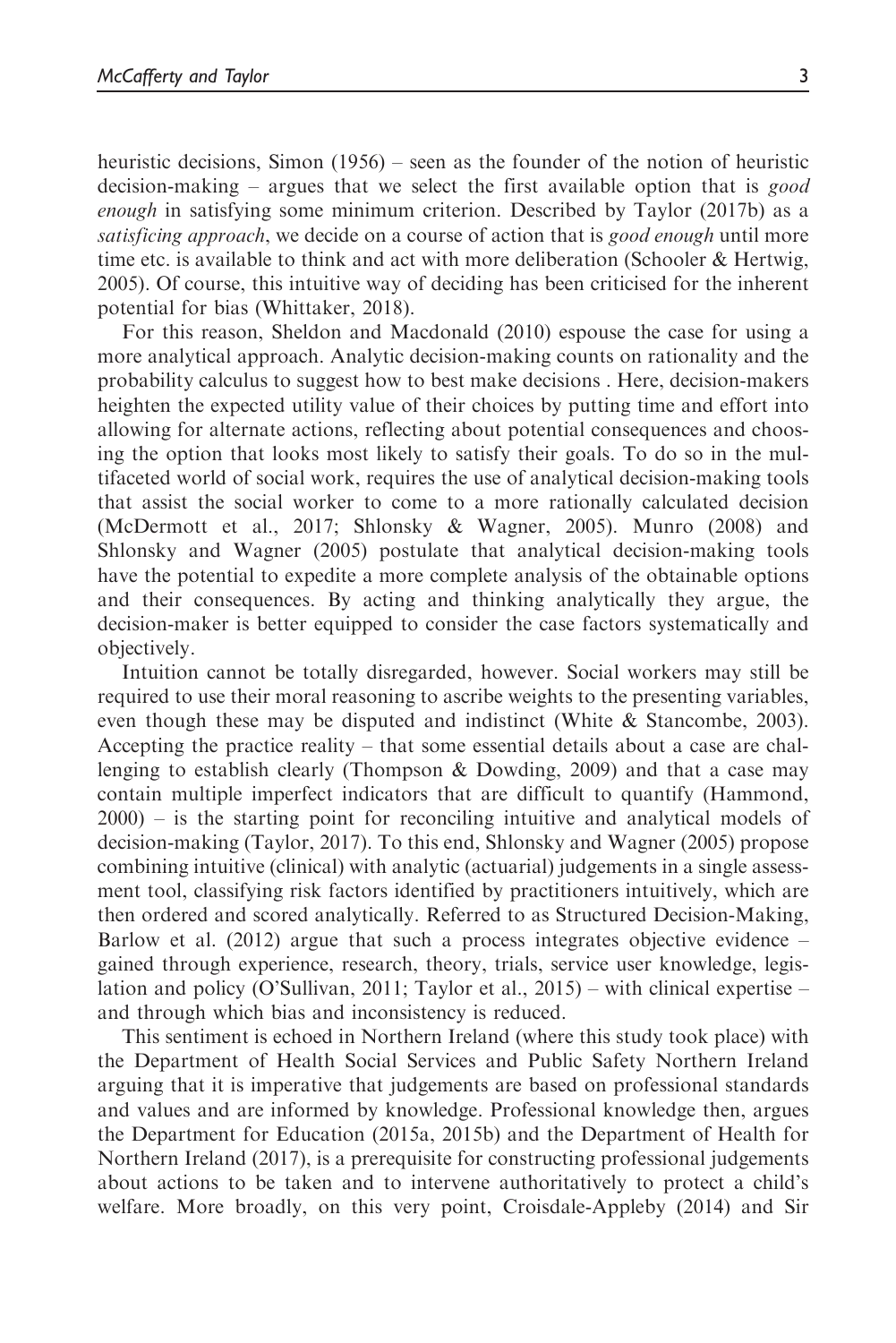heuristic decisions, Simon (1956) – seen as the founder of the notion of heuristic decision-making – argues that we select the first available option that is good enough in satisfying some minimum criterion. Described by Taylor (2017b) as a satisficing approach, we decide on a course of action that is good enough until more time etc. is available to think and act with more deliberation (Schooler & Hertwig, 2005). Of course, this intuitive way of deciding has been criticised for the inherent potential for bias (Whittaker, 2018).

For this reason, Sheldon and Macdonald (2010) espouse the case for using a more analytical approach. Analytic decision-making counts on rationality and the probability calculus to suggest how to best make decisions . Here, decision-makers heighten the expected utility value of their choices by putting time and effort into allowing for alternate actions, reflecting about potential consequences and choosing the option that looks most likely to satisfy their goals. To do so in the multifaceted world of social work, requires the use of analytical decision-making tools that assist the social worker to come to a more rationally calculated decision (McDermott et al., 2017; Shlonsky & Wagner, 2005). Munro (2008) and Shlonsky and Wagner (2005) postulate that analytical decision-making tools have the potential to expedite a more complete analysis of the obtainable options and their consequences. By acting and thinking analytically they argue, the decision-maker is better equipped to consider the case factors systematically and objectively.

Intuition cannot be totally disregarded, however. Social workers may still be required to use their moral reasoning to ascribe weights to the presenting variables, even though these may be disputed and indistinct (White & Stancombe, 2003). Accepting the practice reality – that some essential details about a case are challenging to establish clearly (Thompson & Dowding, 2009) and that a case may contain multiple imperfect indicators that are difficult to quantify (Hammond, 2000) – is the starting point for reconciling intuitive and analytical models of decision-making (Taylor, 2017). To this end, Shlonsky and Wagner (2005) propose combining intuitive (clinical) with analytic (actuarial) judgements in a single assessment tool, classifying risk factors identified by practitioners intuitively, which are then ordered and scored analytically. Referred to as Structured Decision-Making, Barlow et al. (2012) argue that such a process integrates objective evidence – gained through experience, research, theory, trials, service user knowledge, legislation and policy (O'Sullivan, 2011; Taylor et al., 2015) – with clinical expertise – and through which bias and inconsistency is reduced.

This sentiment is echoed in Northern Ireland (where this study took place) with the Department of Health Social Services and Public Safety Northern Ireland arguing that it is imperative that judgements are based on professional standards and values and are informed by knowledge. Professional knowledge then, argues the Department for Education (2015a, 2015b) and the Department of Health for Northern Ireland (2017), is a prerequisite for constructing professional judgements about actions to be taken and to intervene authoritatively to protect a child's welfare. More broadly, on this very point, Croisdale-Appleby (2014) and Sir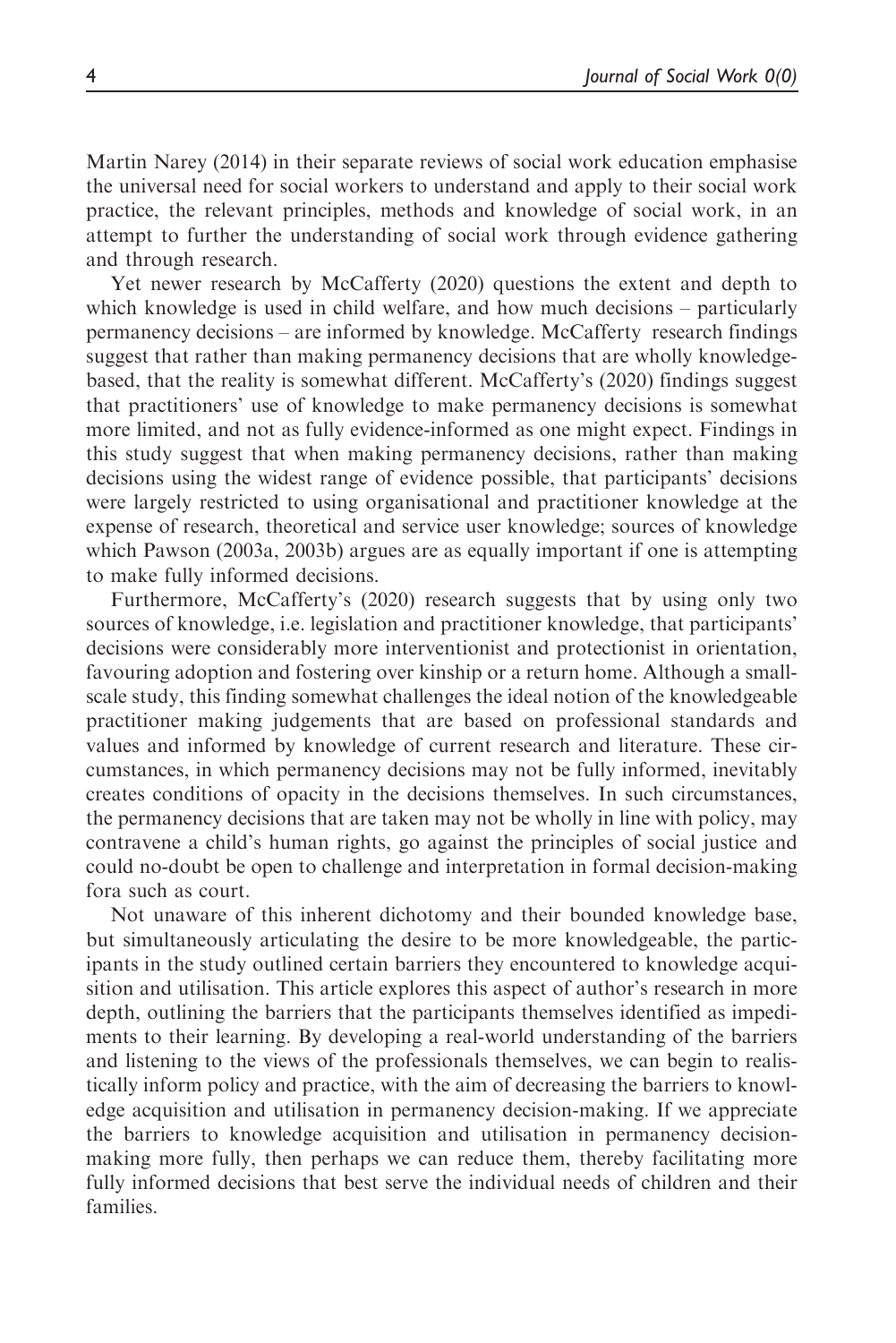Martin Narey (2014) in their separate reviews of social work education emphasise the universal need for social workers to understand and apply to their social work practice, the relevant principles, methods and knowledge of social work, in an attempt to further the understanding of social work through evidence gathering and through research.

Yet newer research by McCafferty (2020) questions the extent and depth to which knowledge is used in child welfare, and how much decisions – particularly permanency decisions – are informed by knowledge. McCafferty research findings suggest that rather than making permanency decisions that are wholly knowledgebased, that the reality is somewhat different. McCafferty's (2020) findings suggest that practitioners' use of knowledge to make permanency decisions is somewhat more limited, and not as fully evidence-informed as one might expect. Findings in this study suggest that when making permanency decisions, rather than making decisions using the widest range of evidence possible, that participants' decisions were largely restricted to using organisational and practitioner knowledge at the expense of research, theoretical and service user knowledge; sources of knowledge which Pawson (2003a, 2003b) argues are as equally important if one is attempting to make fully informed decisions.

Furthermore, McCafferty's (2020) research suggests that by using only two sources of knowledge, i.e. legislation and practitioner knowledge, that participants' decisions were considerably more interventionist and protectionist in orientation, favouring adoption and fostering over kinship or a return home. Although a smallscale study, this finding somewhat challenges the ideal notion of the knowledgeable practitioner making judgements that are based on professional standards and values and informed by knowledge of current research and literature. These circumstances, in which permanency decisions may not be fully informed, inevitably creates conditions of opacity in the decisions themselves. In such circumstances, the permanency decisions that are taken may not be wholly in line with policy, may contravene a child's human rights, go against the principles of social justice and could no-doubt be open to challenge and interpretation in formal decision-making fora such as court.

Not unaware of this inherent dichotomy and their bounded knowledge base, but simultaneously articulating the desire to be more knowledgeable, the participants in the study outlined certain barriers they encountered to knowledge acquisition and utilisation. This article explores this aspect of author's research in more depth, outlining the barriers that the participants themselves identified as impediments to their learning. By developing a real-world understanding of the barriers and listening to the views of the professionals themselves, we can begin to realistically inform policy and practice, with the aim of decreasing the barriers to knowledge acquisition and utilisation in permanency decision-making. If we appreciate the barriers to knowledge acquisition and utilisation in permanency decisionmaking more fully, then perhaps we can reduce them, thereby facilitating more fully informed decisions that best serve the individual needs of children and their families.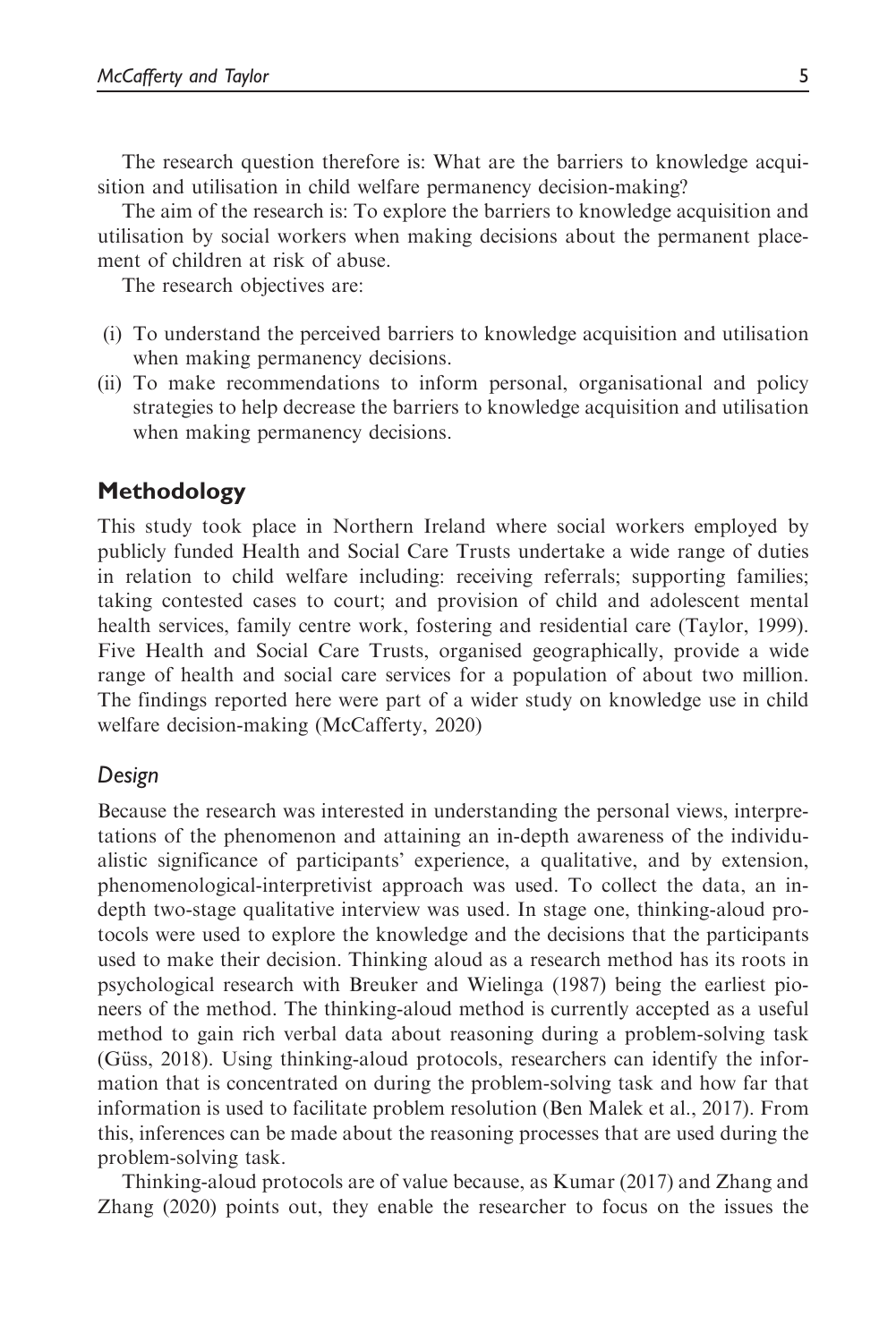The research question therefore is: What are the barriers to knowledge acquisition and utilisation in child welfare permanency decision-making?

The aim of the research is: To explore the barriers to knowledge acquisition and utilisation by social workers when making decisions about the permanent placement of children at risk of abuse.

The research objectives are:

- (i) To understand the perceived barriers to knowledge acquisition and utilisation when making permanency decisions.
- (ii) To make recommendations to inform personal, organisational and policy strategies to help decrease the barriers to knowledge acquisition and utilisation when making permanency decisions.

# Methodology

This study took place in Northern Ireland where social workers employed by publicly funded Health and Social Care Trusts undertake a wide range of duties in relation to child welfare including: receiving referrals; supporting families; taking contested cases to court; and provision of child and adolescent mental health services, family centre work, fostering and residential care (Taylor, 1999). Five Health and Social Care Trusts, organised geographically, provide a wide range of health and social care services for a population of about two million. The findings reported here were part of a wider study on knowledge use in child welfare decision-making (McCafferty, 2020)

## Design

Because the research was interested in understanding the personal views, interpretations of the phenomenon and attaining an in-depth awareness of the individualistic significance of participants' experience, a qualitative, and by extension, phenomenological-interpretivist approach was used. To collect the data, an indepth two-stage qualitative interview was used. In stage one, thinking-aloud protocols were used to explore the knowledge and the decisions that the participants used to make their decision. Thinking aloud as a research method has its roots in psychological research with Breuker and Wielinga (1987) being the earliest pioneers of the method. The thinking-aloud method is currently accepted as a useful method to gain rich verbal data about reasoning during a problem-solving task (Güss, 2018). Using thinking-aloud protocols, researchers can identify the information that is concentrated on during the problem-solving task and how far that information is used to facilitate problem resolution (Ben Malek et al., 2017). From this, inferences can be made about the reasoning processes that are used during the problem-solving task.

Thinking-aloud protocols are of value because, as Kumar (2017) and Zhang and Zhang (2020) points out, they enable the researcher to focus on the issues the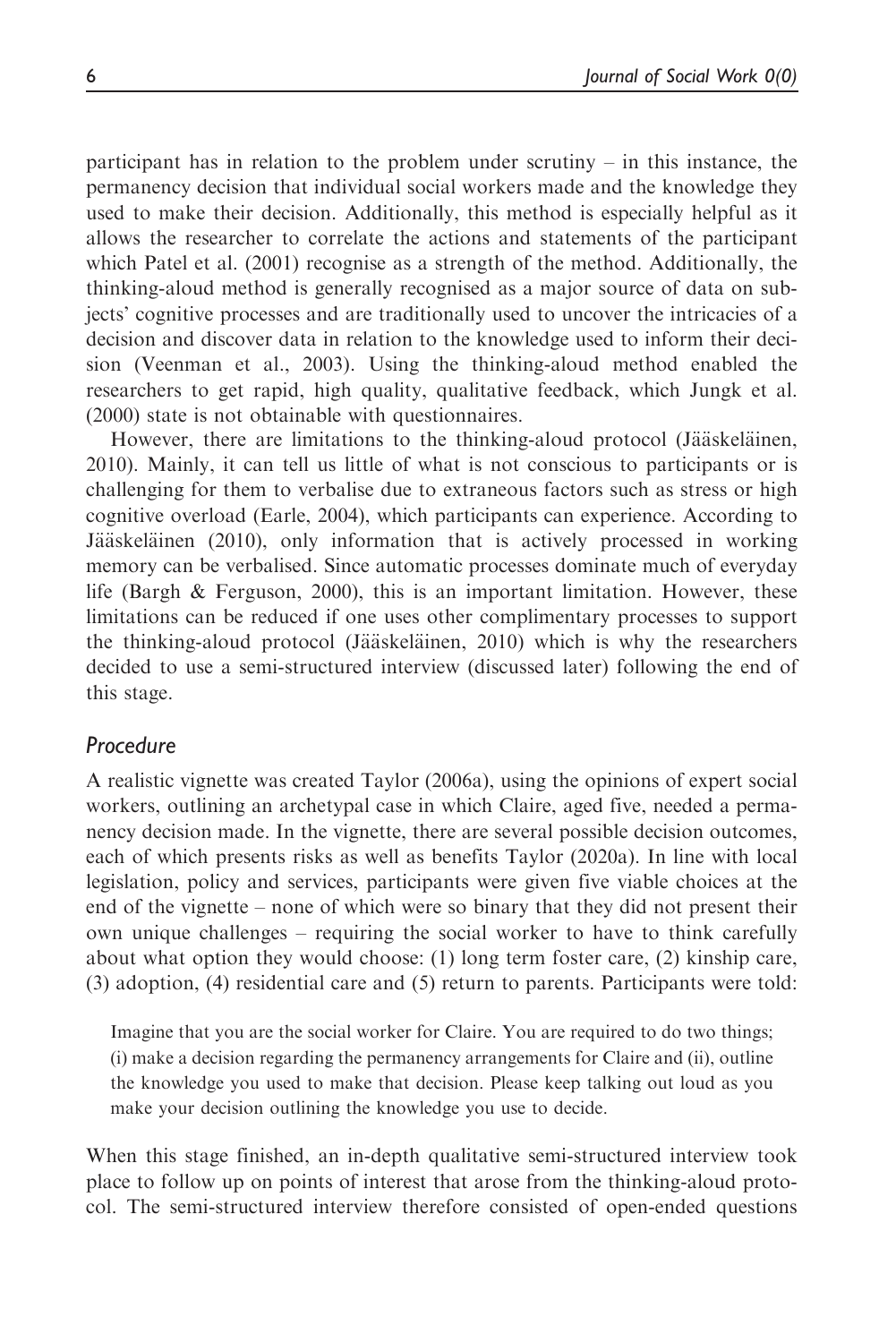participant has in relation to the problem under scrutiny – in this instance, the permanency decision that individual social workers made and the knowledge they used to make their decision. Additionally, this method is especially helpful as it allows the researcher to correlate the actions and statements of the participant which Patel et al. (2001) recognise as a strength of the method. Additionally, the thinking-aloud method is generally recognised as a major source of data on subjects' cognitive processes and are traditionally used to uncover the intricacies of a decision and discover data in relation to the knowledge used to inform their decision (Veenman et al., 2003). Using the thinking-aloud method enabled the researchers to get rapid, high quality, qualitative feedback, which Jungk et al. (2000) state is not obtainable with questionnaires.

However, there are limitations to the thinking-aloud protocol (Jääskeläinen, 2010). Mainly, it can tell us little of what is not conscious to participants or is challenging for them to verbalise due to extraneous factors such as stress or high cognitive overload (Earle, 2004), which participants can experience. According to Jääskeläinen (2010), only information that is actively processed in working memory can be verbalised. Since automatic processes dominate much of everyday life (Bargh & Ferguson, 2000), this is an important limitation. However, these limitations can be reduced if one uses other complimentary processes to support the thinking-aloud protocol (Jääskeläinen, 2010) which is why the researchers decided to use a semi-structured interview (discussed later) following the end of this stage.

## Procedure

A realistic vignette was created Taylor (2006a), using the opinions of expert social workers, outlining an archetypal case in which Claire, aged five, needed a permanency decision made. In the vignette, there are several possible decision outcomes, each of which presents risks as well as benefits Taylor (2020a). In line with local legislation, policy and services, participants were given five viable choices at the end of the vignette – none of which were so binary that they did not present their own unique challenges – requiring the social worker to have to think carefully about what option they would choose: (1) long term foster care, (2) kinship care, (3) adoption, (4) residential care and (5) return to parents. Participants were told:

Imagine that you are the social worker for Claire. You are required to do two things; (i) make a decision regarding the permanency arrangements for Claire and (ii), outline the knowledge you used to make that decision. Please keep talking out loud as you make your decision outlining the knowledge you use to decide.

When this stage finished, an in-depth qualitative semi-structured interview took place to follow up on points of interest that arose from the thinking-aloud protocol. The semi-structured interview therefore consisted of open-ended questions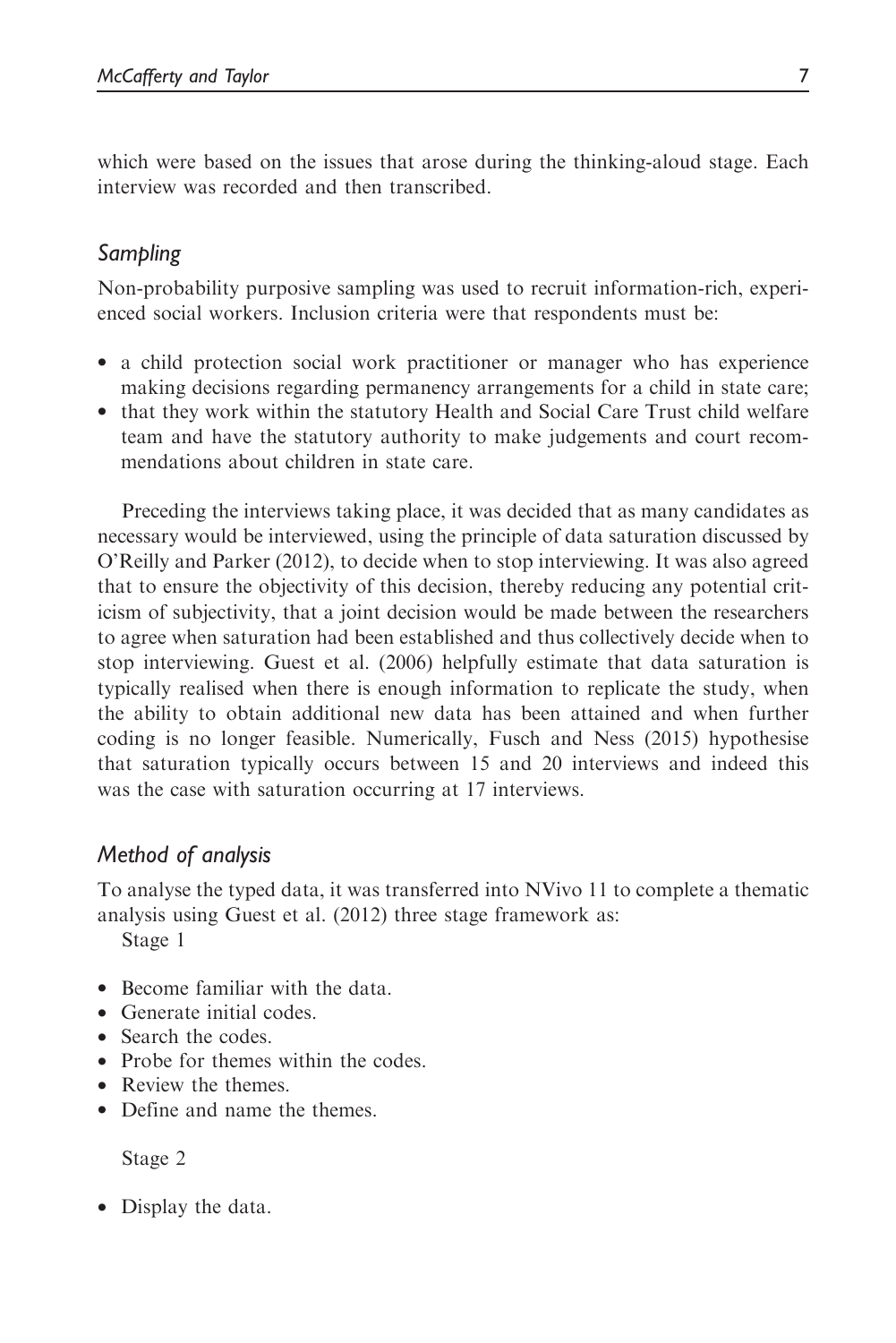which were based on the issues that arose during the thinking-aloud stage. Each interview was recorded and then transcribed.

# Sampling

Non-probability purposive sampling was used to recruit information-rich, experienced social workers. Inclusion criteria were that respondents must be:

- a child protection social work practitioner or manager who has experience making decisions regarding permanency arrangements for a child in state care;
- that they work within the statutory Health and Social Care Trust child welfare team and have the statutory authority to make judgements and court recommendations about children in state care.

Preceding the interviews taking place, it was decided that as many candidates as necessary would be interviewed, using the principle of data saturation discussed by O'Reilly and Parker (2012), to decide when to stop interviewing. It was also agreed that to ensure the objectivity of this decision, thereby reducing any potential criticism of subjectivity, that a joint decision would be made between the researchers to agree when saturation had been established and thus collectively decide when to stop interviewing. Guest et al. (2006) helpfully estimate that data saturation is typically realised when there is enough information to replicate the study, when the ability to obtain additional new data has been attained and when further coding is no longer feasible. Numerically, Fusch and Ness (2015) hypothesise that saturation typically occurs between 15 and 20 interviews and indeed this was the case with saturation occurring at 17 interviews.

# Method of analysis

To analyse the typed data, it was transferred into NVivo 11 to complete a thematic analysis using Guest et al. (2012) three stage framework as:

Stage 1

- Become familiar with the data.
- Generate initial codes.
- Search the codes.
- Probe for themes within the codes.
- Review the themes.
- Define and name the themes.

Stage 2

• Display the data.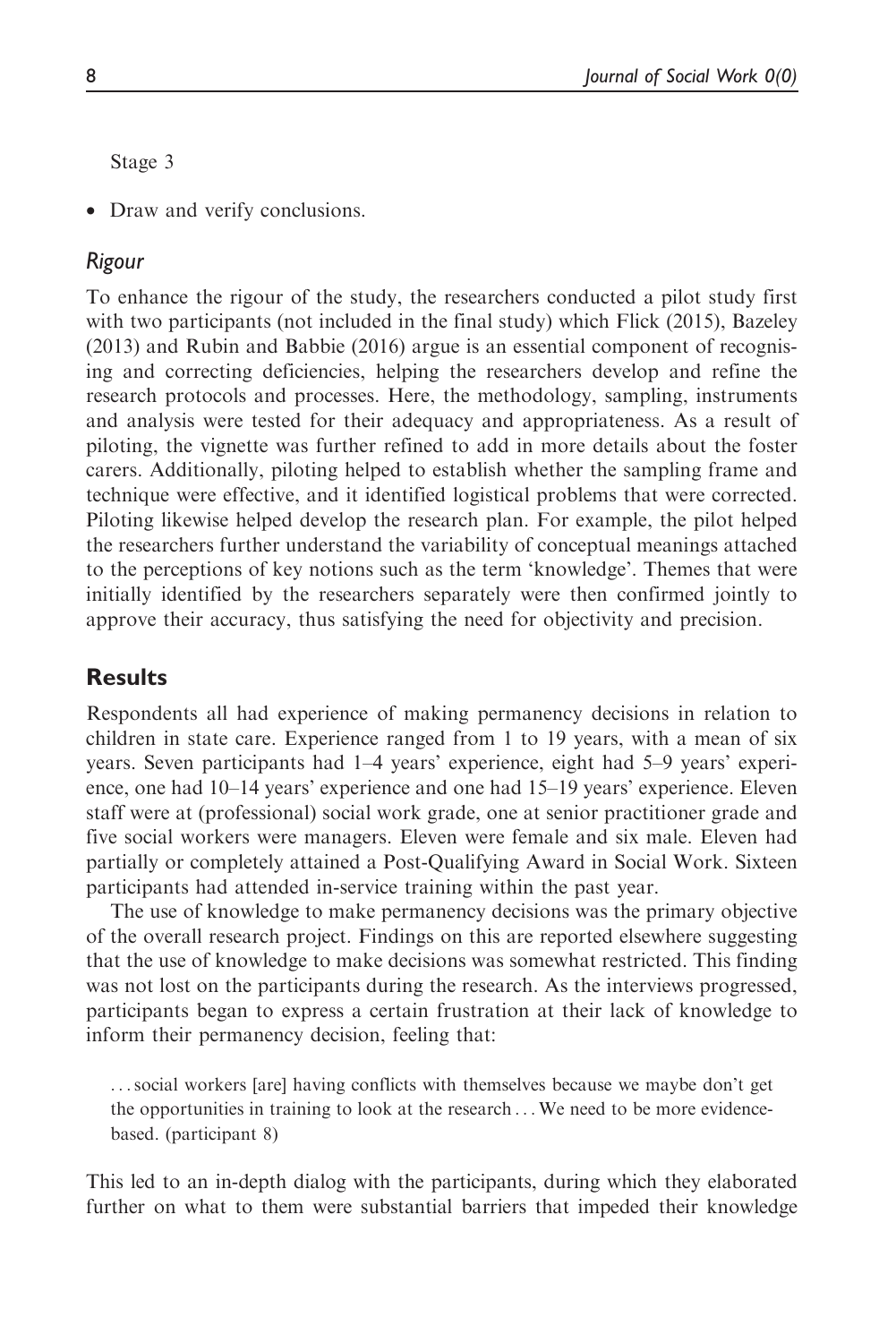Stage 3

• Draw and verify conclusions.

#### Rigour

To enhance the rigour of the study, the researchers conducted a pilot study first with two participants (not included in the final study) which Flick (2015), Bazeley (2013) and Rubin and Babbie (2016) argue is an essential component of recognising and correcting deficiencies, helping the researchers develop and refine the research protocols and processes. Here, the methodology, sampling, instruments and analysis were tested for their adequacy and appropriateness. As a result of piloting, the vignette was further refined to add in more details about the foster carers. Additionally, piloting helped to establish whether the sampling frame and technique were effective, and it identified logistical problems that were corrected. Piloting likewise helped develop the research plan. For example, the pilot helped the researchers further understand the variability of conceptual meanings attached to the perceptions of key notions such as the term 'knowledge'. Themes that were initially identified by the researchers separately were then confirmed jointly to approve their accuracy, thus satisfying the need for objectivity and precision.

## **Results**

Respondents all had experience of making permanency decisions in relation to children in state care. Experience ranged from 1 to 19 years, with a mean of six years. Seven participants had 1–4 years' experience, eight had 5–9 years' experience, one had 10–14 years' experience and one had 15–19 years' experience. Eleven staff were at (professional) social work grade, one at senior practitioner grade and five social workers were managers. Eleven were female and six male. Eleven had partially or completely attained a Post-Qualifying Award in Social Work. Sixteen participants had attended in-service training within the past year.

The use of knowledge to make permanency decisions was the primary objective of the overall research project. Findings on this are reported elsewhere suggesting that the use of knowledge to make decisions was somewhat restricted. This finding was not lost on the participants during the research. As the interviews progressed, participants began to express a certain frustration at their lack of knowledge to inform their permanency decision, feeling that:

...social workers [are] having conflicts with themselves because we maybe don't get the opportunities in training to look at the research ...We need to be more evidencebased. (participant 8)

This led to an in-depth dialog with the participants, during which they elaborated further on what to them were substantial barriers that impeded their knowledge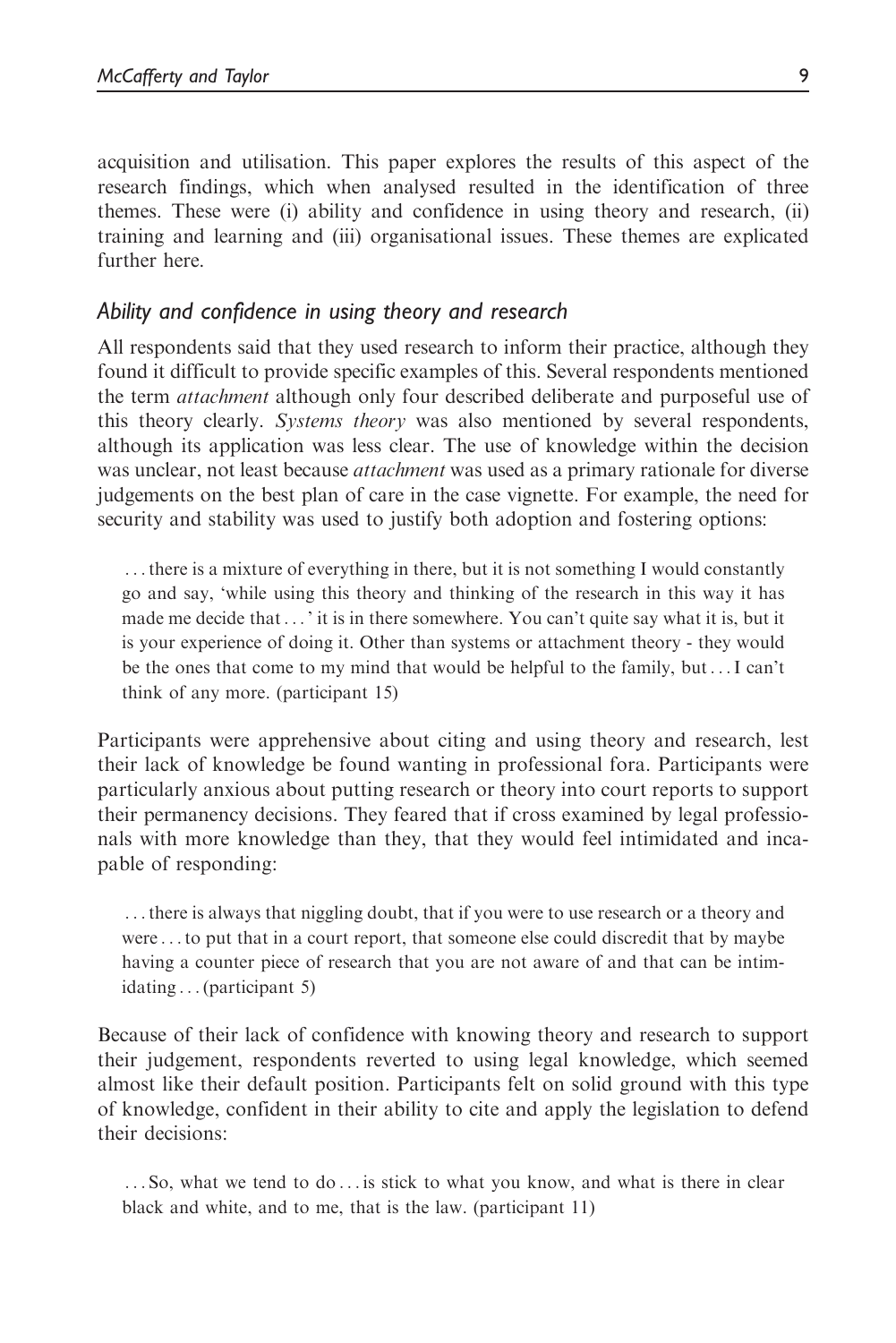acquisition and utilisation. This paper explores the results of this aspect of the research findings, which when analysed resulted in the identification of three themes. These were (i) ability and confidence in using theory and research, (ii) training and learning and (iii) organisational issues. These themes are explicated further here.

## Ability and confidence in using theory and research

All respondents said that they used research to inform their practice, although they found it difficult to provide specific examples of this. Several respondents mentioned the term *attachment* although only four described deliberate and purposeful use of this theory clearly. Systems theory was also mentioned by several respondents, although its application was less clear. The use of knowledge within the decision was unclear, not least because *attachment* was used as a primary rationale for diverse judgements on the best plan of care in the case vignette. For example, the need for security and stability was used to justify both adoption and fostering options:

...there is a mixture of everything in there, but it is not something I would constantly go and say, 'while using this theory and thinking of the research in this way it has made me decide that... ' it is in there somewhere. You can't quite say what it is, but it is your experience of doing it. Other than systems or attachment theory - they would be the ones that come to my mind that would be helpful to the family, but...I can't think of any more. (participant 15)

Participants were apprehensive about citing and using theory and research, lest their lack of knowledge be found wanting in professional fora. Participants were particularly anxious about putting research or theory into court reports to support their permanency decisions. They feared that if cross examined by legal professionals with more knowledge than they, that they would feel intimidated and incapable of responding:

...there is always that niggling doubt, that if you were to use research or a theory and were ...to put that in a court report, that someone else could discredit that by maybe having a counter piece of research that you are not aware of and that can be intimidating ... (participant 5)

Because of their lack of confidence with knowing theory and research to support their judgement, respondents reverted to using legal knowledge, which seemed almost like their default position. Participants felt on solid ground with this type of knowledge, confident in their ability to cite and apply the legislation to defend their decisions:

... So, what we tend to do ... is stick to what you know, and what is there in clear black and white, and to me, that is the law. (participant 11)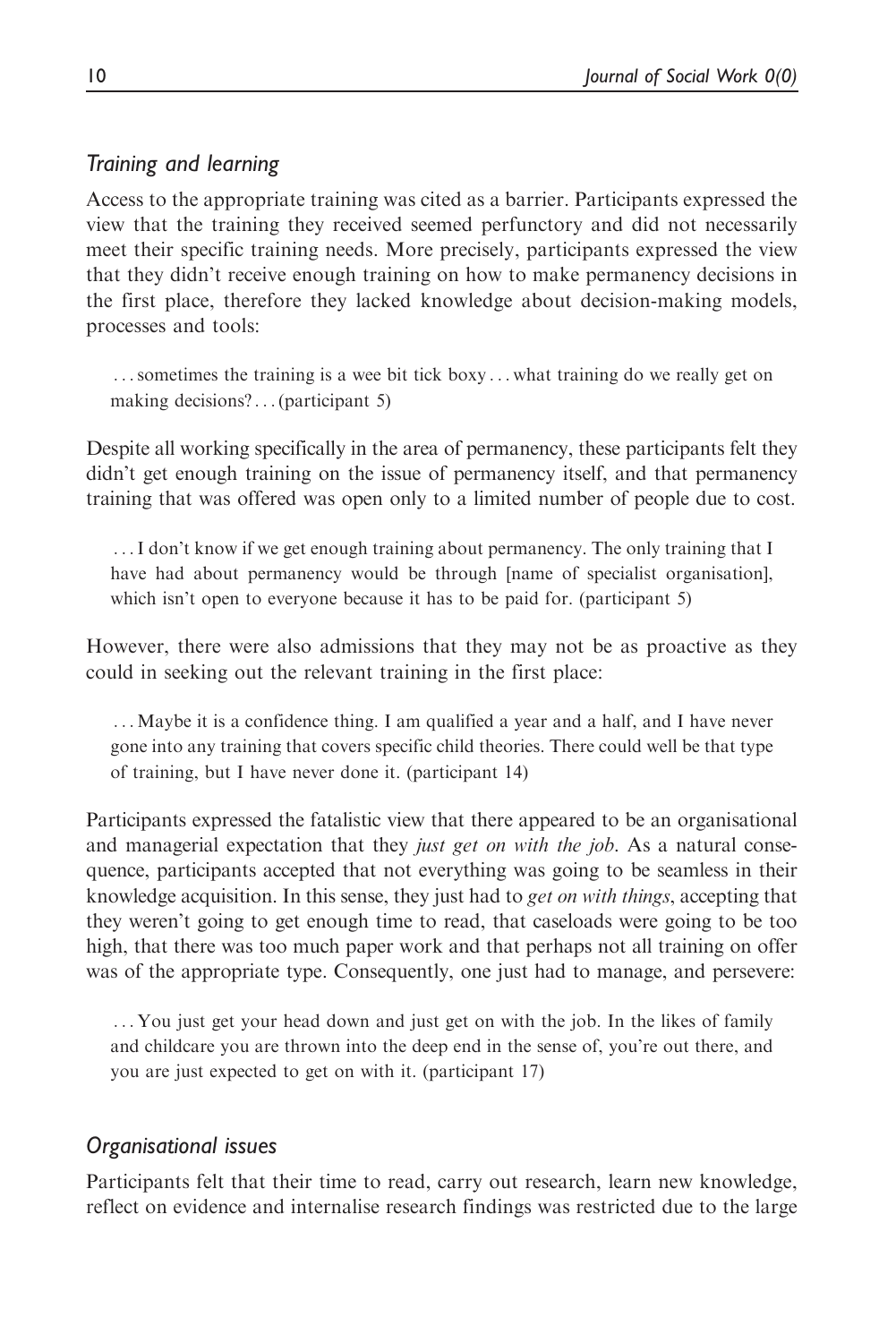# Training and learning

Access to the appropriate training was cited as a barrier. Participants expressed the view that the training they received seemed perfunctory and did not necessarily meet their specific training needs. More precisely, participants expressed the view that they didn't receive enough training on how to make permanency decisions in the first place, therefore they lacked knowledge about decision-making models, processes and tools:

...sometimes the training is a wee bit tick boxy ... what training do we really get on making decisions?...(participant 5)

Despite all working specifically in the area of permanency, these participants felt they didn't get enough training on the issue of permanency itself, and that permanency training that was offered was open only to a limited number of people due to cost.

...I don't know if we get enough training about permanency. The only training that I have had about permanency would be through [name of specialist organisation], which isn't open to everyone because it has to be paid for. (participant 5)

However, there were also admissions that they may not be as proactive as they could in seeking out the relevant training in the first place:

...Maybe it is a confidence thing. I am qualified a year and a half, and I have never gone into any training that covers specific child theories. There could well be that type of training, but I have never done it. (participant 14)

Participants expressed the fatalistic view that there appeared to be an organisational and managerial expectation that they *just get on with the job*. As a natural consequence, participants accepted that not everything was going to be seamless in their knowledge acquisition. In this sense, they just had to *get on with things*, accepting that they weren't going to get enough time to read, that caseloads were going to be too high, that there was too much paper work and that perhaps not all training on offer was of the appropriate type. Consequently, one just had to manage, and persevere:

... You just get your head down and just get on with the job. In the likes of family and childcare you are thrown into the deep end in the sense of, you're out there, and you are just expected to get on with it. (participant 17)

## Organisational issues

Participants felt that their time to read, carry out research, learn new knowledge, reflect on evidence and internalise research findings was restricted due to the large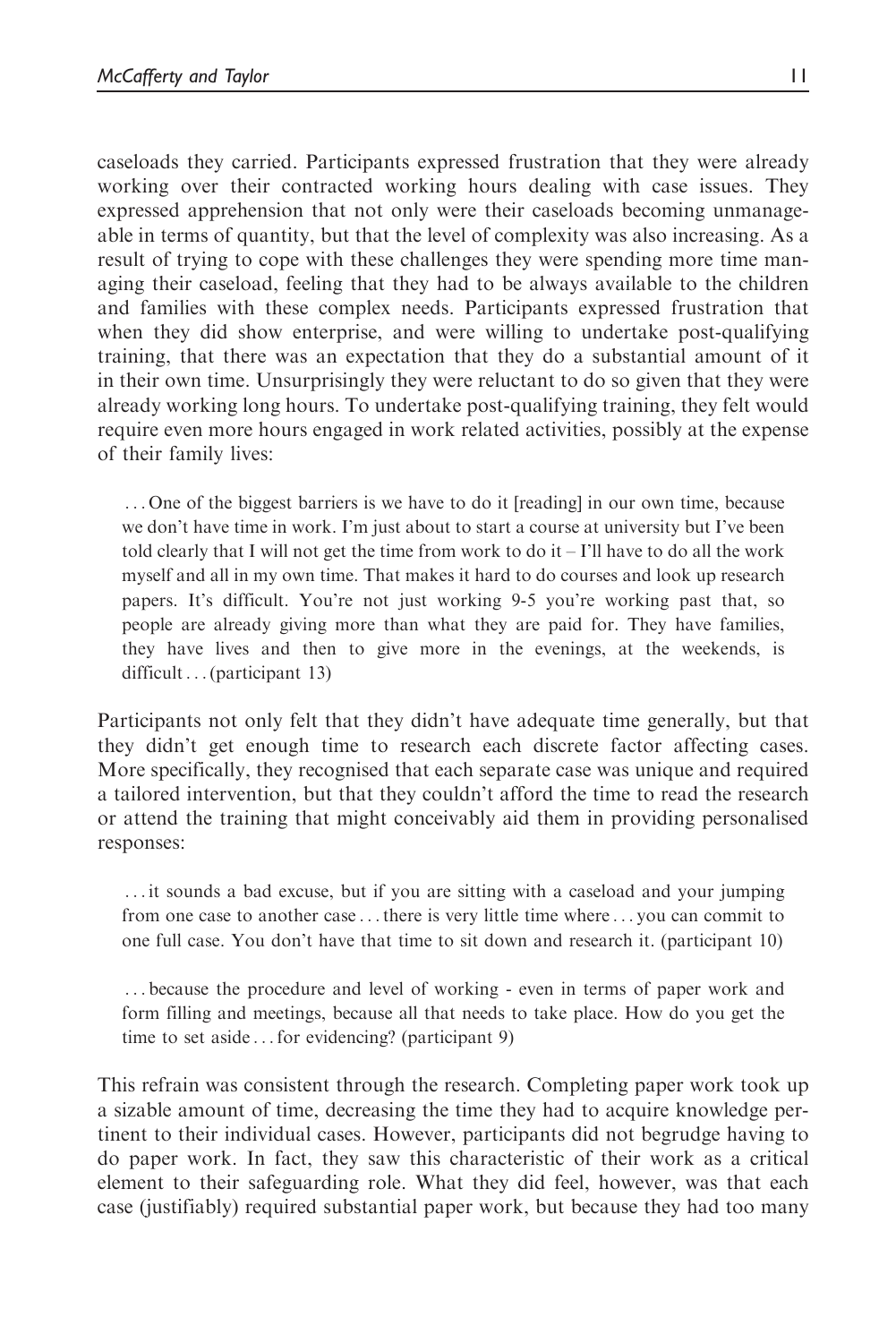caseloads they carried. Participants expressed frustration that they were already working over their contracted working hours dealing with case issues. They expressed apprehension that not only were their caseloads becoming unmanageable in terms of quantity, but that the level of complexity was also increasing. As a result of trying to cope with these challenges they were spending more time managing their caseload, feeling that they had to be always available to the children and families with these complex needs. Participants expressed frustration that when they did show enterprise, and were willing to undertake post-qualifying training, that there was an expectation that they do a substantial amount of it in their own time. Unsurprisingly they were reluctant to do so given that they were already working long hours. To undertake post-qualifying training, they felt would require even more hours engaged in work related activities, possibly at the expense of their family lives:

... One of the biggest barriers is we have to do it [reading] in our own time, because we don't have time in work. I'm just about to start a course at university but I've been told clearly that I will not get the time from work to do it  $-1$ 'll have to do all the work myself and all in my own time. That makes it hard to do courses and look up research papers. It's difficult. You're not just working 9-5 you're working past that, so people are already giving more than what they are paid for. They have families, they have lives and then to give more in the evenings, at the weekends, is difficult...(participant 13)

Participants not only felt that they didn't have adequate time generally, but that they didn't get enough time to research each discrete factor affecting cases. More specifically, they recognised that each separate case was unique and required a tailored intervention, but that they couldn't afford the time to read the research or attend the training that might conceivably aid them in providing personalised responses:

... it sounds a bad excuse, but if you are sitting with a caseload and your jumping from one case to another case ...there is very little time where ... you can commit to one full case. You don't have that time to sit down and research it. (participant 10)

... because the procedure and level of working - even in terms of paper work and form filling and meetings, because all that needs to take place. How do you get the time to set aside ... for evidencing? (participant 9)

This refrain was consistent through the research. Completing paper work took up a sizable amount of time, decreasing the time they had to acquire knowledge pertinent to their individual cases. However, participants did not begrudge having to do paper work. In fact, they saw this characteristic of their work as a critical element to their safeguarding role. What they did feel, however, was that each case (justifiably) required substantial paper work, but because they had too many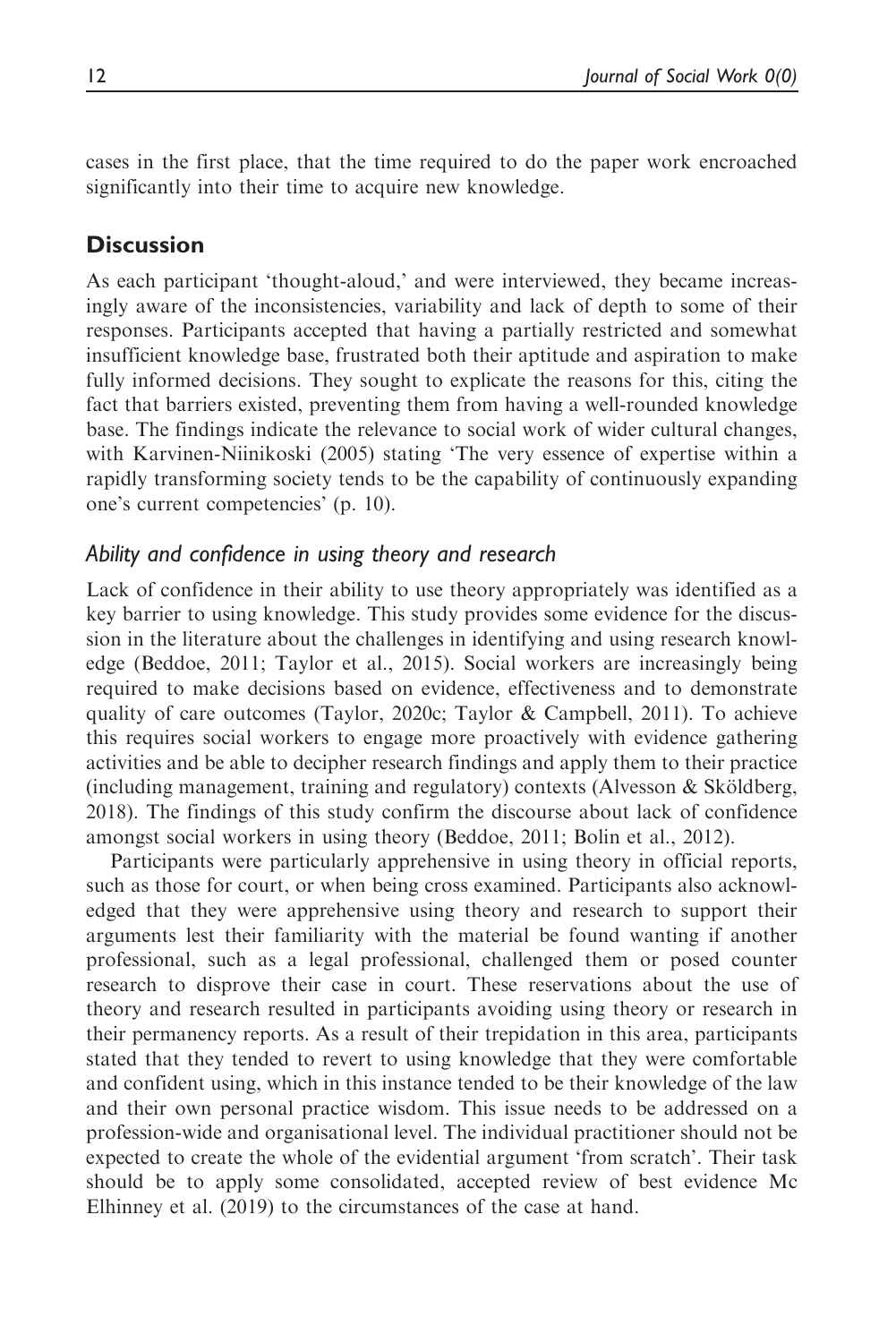cases in the first place, that the time required to do the paper work encroached significantly into their time to acquire new knowledge.

# **Discussion**

As each participant 'thought-aloud,' and were interviewed, they became increasingly aware of the inconsistencies, variability and lack of depth to some of their responses. Participants accepted that having a partially restricted and somewhat insufficient knowledge base, frustrated both their aptitude and aspiration to make fully informed decisions. They sought to explicate the reasons for this, citing the fact that barriers existed, preventing them from having a well-rounded knowledge base. The findings indicate the relevance to social work of wider cultural changes, with Karvinen-Niinikoski (2005) stating 'The very essence of expertise within a rapidly transforming society tends to be the capability of continuously expanding one's current competencies' (p. 10).

## Ability and confidence in using theory and research

Lack of confidence in their ability to use theory appropriately was identified as a key barrier to using knowledge. This study provides some evidence for the discussion in the literature about the challenges in identifying and using research knowledge (Beddoe, 2011; Taylor et al., 2015). Social workers are increasingly being required to make decisions based on evidence, effectiveness and to demonstrate quality of care outcomes (Taylor, 2020c; Taylor & Campbell, 2011). To achieve this requires social workers to engage more proactively with evidence gathering activities and be able to decipher research findings and apply them to their practice (including management, training and regulatory) contexts (Alvesson  $\&$  Sköldberg, 2018). The findings of this study confirm the discourse about lack of confidence amongst social workers in using theory (Beddoe, 2011; Bolin et al., 2012).

Participants were particularly apprehensive in using theory in official reports, such as those for court, or when being cross examined. Participants also acknowledged that they were apprehensive using theory and research to support their arguments lest their familiarity with the material be found wanting if another professional, such as a legal professional, challenged them or posed counter research to disprove their case in court. These reservations about the use of theory and research resulted in participants avoiding using theory or research in their permanency reports. As a result of their trepidation in this area, participants stated that they tended to revert to using knowledge that they were comfortable and confident using, which in this instance tended to be their knowledge of the law and their own personal practice wisdom. This issue needs to be addressed on a profession-wide and organisational level. The individual practitioner should not be expected to create the whole of the evidential argument 'from scratch'. Their task should be to apply some consolidated, accepted review of best evidence Mc Elhinney et al. (2019) to the circumstances of the case at hand.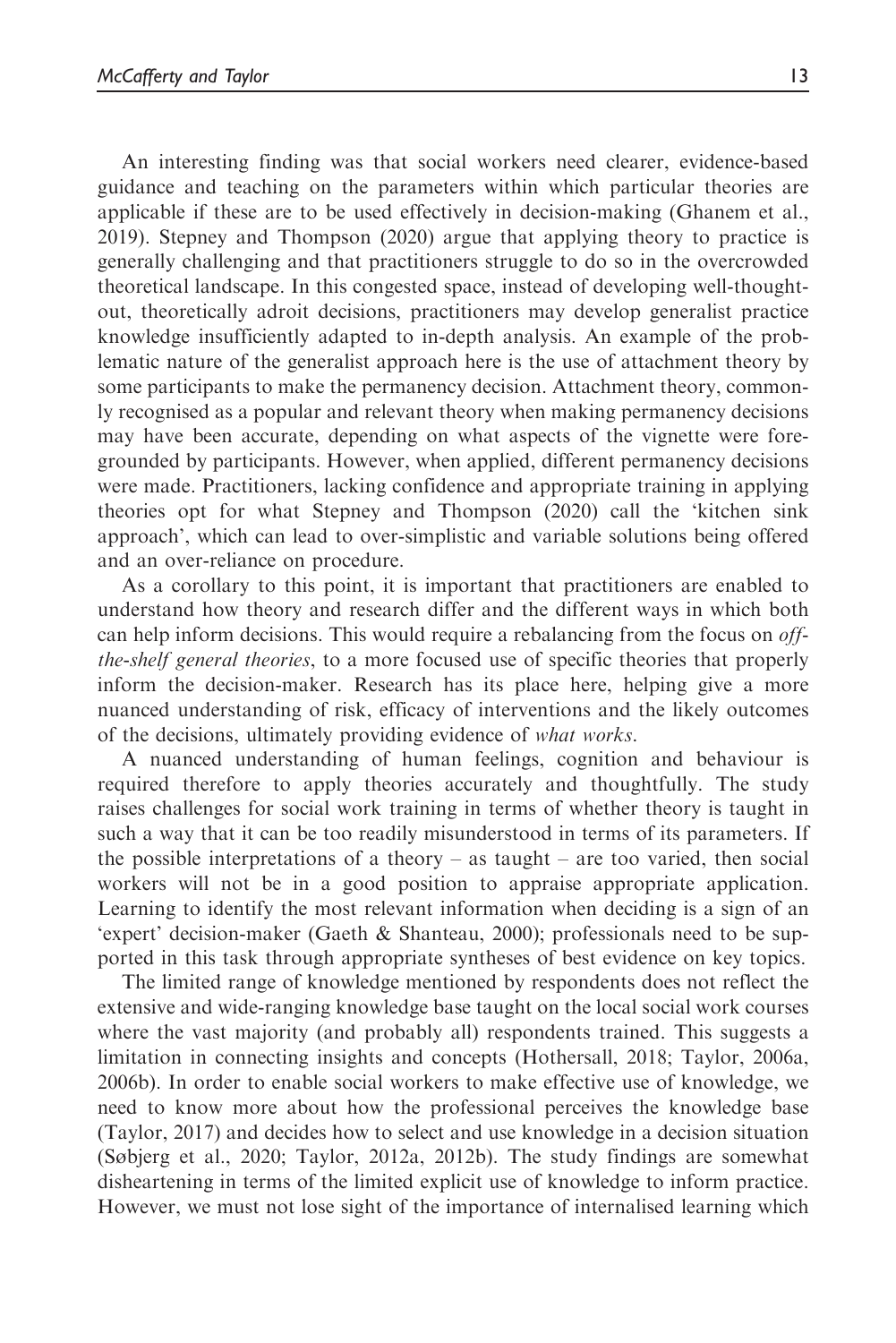An interesting finding was that social workers need clearer, evidence-based guidance and teaching on the parameters within which particular theories are applicable if these are to be used effectively in decision-making (Ghanem et al., 2019). Stepney and Thompson (2020) argue that applying theory to practice is generally challenging and that practitioners struggle to do so in the overcrowded theoretical landscape. In this congested space, instead of developing well-thoughtout, theoretically adroit decisions, practitioners may develop generalist practice knowledge insufficiently adapted to in-depth analysis. An example of the problematic nature of the generalist approach here is the use of attachment theory by some participants to make the permanency decision. Attachment theory, commonly recognised as a popular and relevant theory when making permanency decisions may have been accurate, depending on what aspects of the vignette were foregrounded by participants. However, when applied, different permanency decisions were made. Practitioners, lacking confidence and appropriate training in applying theories opt for what Stepney and Thompson (2020) call the 'kitchen sink approach', which can lead to over-simplistic and variable solutions being offered and an over-reliance on procedure.

As a corollary to this point, it is important that practitioners are enabled to understand how theory and research differ and the different ways in which both can help inform decisions. This would require a rebalancing from the focus on *off*the-shelf general theories, to a more focused use of specific theories that properly inform the decision-maker. Research has its place here, helping give a more nuanced understanding of risk, efficacy of interventions and the likely outcomes of the decisions, ultimately providing evidence of what works.

A nuanced understanding of human feelings, cognition and behaviour is required therefore to apply theories accurately and thoughtfully. The study raises challenges for social work training in terms of whether theory is taught in such a way that it can be too readily misunderstood in terms of its parameters. If the possible interpretations of a theory – as taught – are too varied, then social workers will not be in a good position to appraise appropriate application. Learning to identify the most relevant information when deciding is a sign of an 'expert' decision-maker (Gaeth & Shanteau, 2000); professionals need to be supported in this task through appropriate syntheses of best evidence on key topics.

The limited range of knowledge mentioned by respondents does not reflect the extensive and wide-ranging knowledge base taught on the local social work courses where the vast majority (and probably all) respondents trained. This suggests a limitation in connecting insights and concepts (Hothersall, 2018; Taylor, 2006a, 2006b). In order to enable social workers to make effective use of knowledge, we need to know more about how the professional perceives the knowledge base (Taylor, 2017) and decides how to select and use knowledge in a decision situation (Søbjerg et al., 2020; Taylor, 2012a, 2012b). The study findings are somewhat disheartening in terms of the limited explicit use of knowledge to inform practice. However, we must not lose sight of the importance of internalised learning which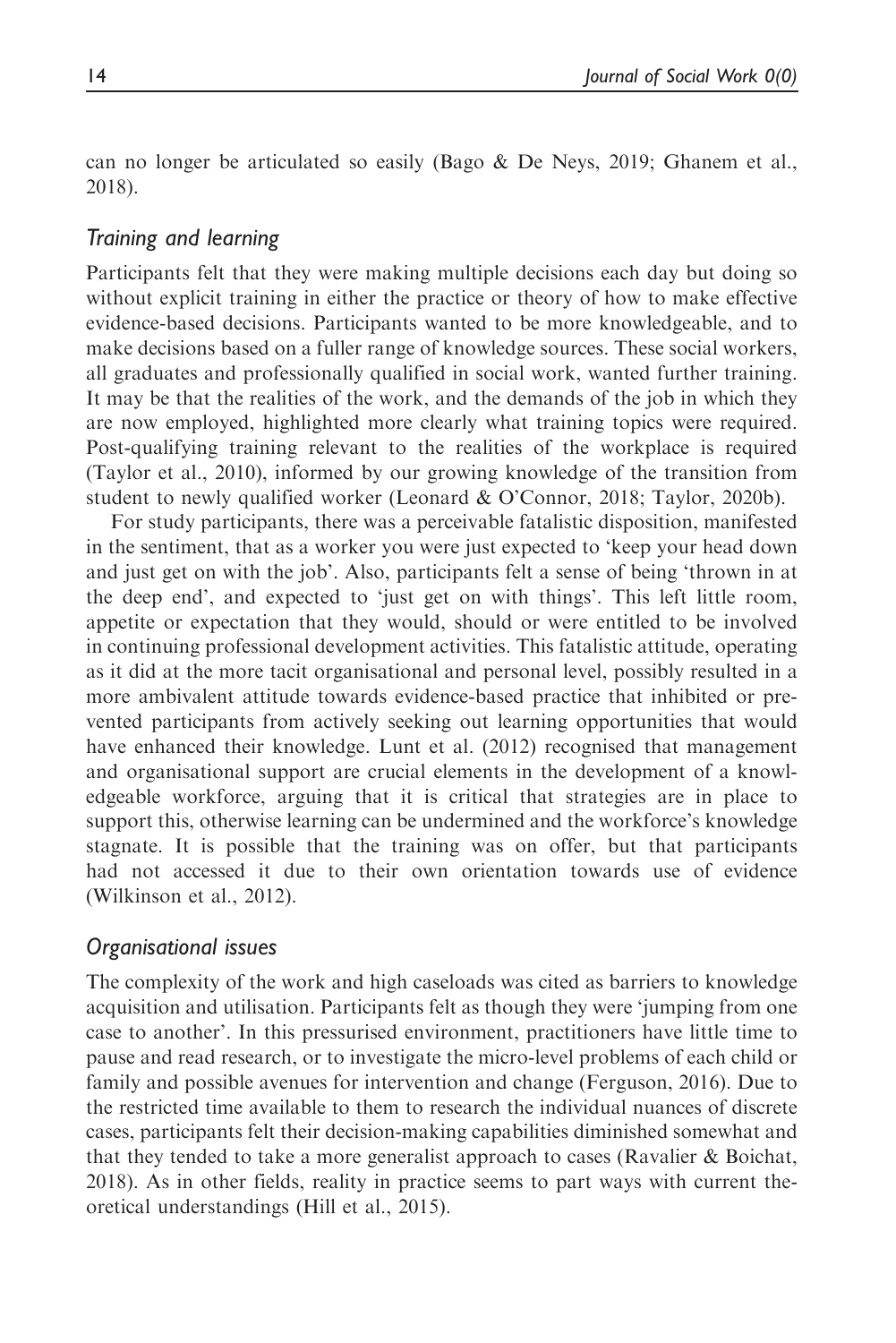can no longer be articulated so easily (Bago  $\&$  De Neys, 2019; Ghanem et al., 2018).

## Training and learning

Participants felt that they were making multiple decisions each day but doing so without explicit training in either the practice or theory of how to make effective evidence-based decisions. Participants wanted to be more knowledgeable, and to make decisions based on a fuller range of knowledge sources. These social workers, all graduates and professionally qualified in social work, wanted further training. It may be that the realities of the work, and the demands of the job in which they are now employed, highlighted more clearly what training topics were required. Post-qualifying training relevant to the realities of the workplace is required (Taylor et al., 2010), informed by our growing knowledge of the transition from student to newly qualified worker (Leonard & O'Connor, 2018; Taylor, 2020b).

For study participants, there was a perceivable fatalistic disposition, manifested in the sentiment, that as a worker you were just expected to 'keep your head down and just get on with the job'. Also, participants felt a sense of being 'thrown in at the deep end', and expected to 'just get on with things'. This left little room, appetite or expectation that they would, should or were entitled to be involved in continuing professional development activities. This fatalistic attitude, operating as it did at the more tacit organisational and personal level, possibly resulted in a more ambivalent attitude towards evidence-based practice that inhibited or prevented participants from actively seeking out learning opportunities that would have enhanced their knowledge. Lunt et al. (2012) recognised that management and organisational support are crucial elements in the development of a knowledgeable workforce, arguing that it is critical that strategies are in place to support this, otherwise learning can be undermined and the workforce's knowledge stagnate. It is possible that the training was on offer, but that participants had not accessed it due to their own orientation towards use of evidence (Wilkinson et al., 2012).

## Organisational issues

The complexity of the work and high caseloads was cited as barriers to knowledge acquisition and utilisation. Participants felt as though they were 'jumping from one case to another'. In this pressurised environment, practitioners have little time to pause and read research, or to investigate the micro-level problems of each child or family and possible avenues for intervention and change (Ferguson, 2016). Due to the restricted time available to them to research the individual nuances of discrete cases, participants felt their decision-making capabilities diminished somewhat and that they tended to take a more generalist approach to cases (Ravalier & Boichat, 2018). As in other fields, reality in practice seems to part ways with current theoretical understandings (Hill et al., 2015).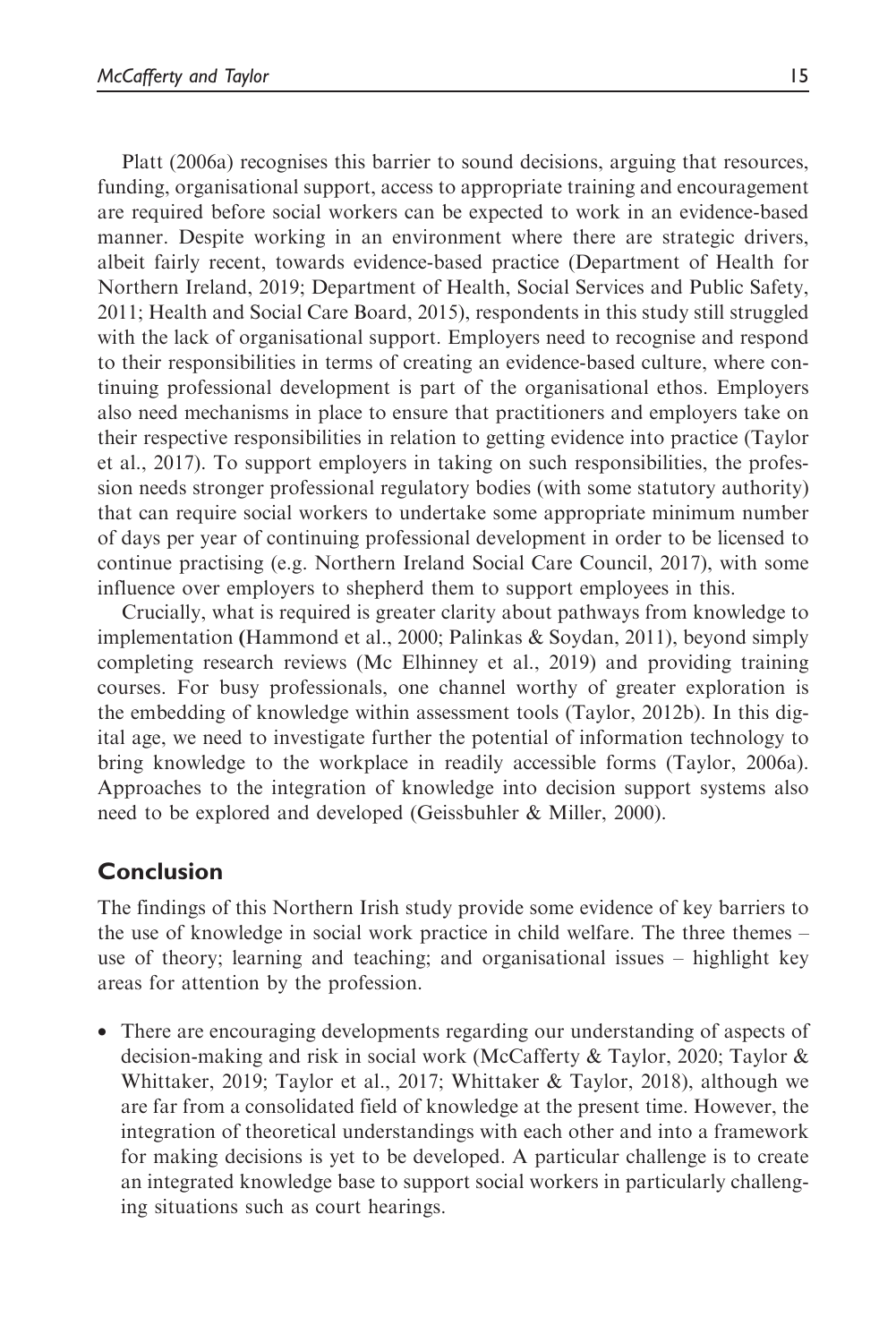Platt (2006a) recognises this barrier to sound decisions, arguing that resources, funding, organisational support, access to appropriate training and encouragement are required before social workers can be expected to work in an evidence-based manner. Despite working in an environment where there are strategic drivers, albeit fairly recent, towards evidence-based practice (Department of Health for Northern Ireland, 2019; Department of Health, Social Services and Public Safety, 2011; Health and Social Care Board, 2015), respondents in this study still struggled with the lack of organisational support. Employers need to recognise and respond to their responsibilities in terms of creating an evidence-based culture, where continuing professional development is part of the organisational ethos. Employers also need mechanisms in place to ensure that practitioners and employers take on their respective responsibilities in relation to getting evidence into practice (Taylor et al., 2017). To support employers in taking on such responsibilities, the profession needs stronger professional regulatory bodies (with some statutory authority) that can require social workers to undertake some appropriate minimum number of days per year of continuing professional development in order to be licensed to continue practising (e.g. Northern Ireland Social Care Council, 2017), with some influence over employers to shepherd them to support employees in this.

Crucially, what is required is greater clarity about pathways from knowledge to implementation (Hammond et al., 2000; Palinkas & Soydan, 2011), beyond simply completing research reviews (Mc Elhinney et al., 2019) and providing training courses. For busy professionals, one channel worthy of greater exploration is the embedding of knowledge within assessment tools (Taylor, 2012b). In this digital age, we need to investigate further the potential of information technology to bring knowledge to the workplace in readily accessible forms (Taylor, 2006a). Approaches to the integration of knowledge into decision support systems also need to be explored and developed (Geissbuhler & Miller, 2000).

# Conclusion

The findings of this Northern Irish study provide some evidence of key barriers to the use of knowledge in social work practice in child welfare. The three themes – use of theory; learning and teaching; and organisational issues – highlight key areas for attention by the profession.

• There are encouraging developments regarding our understanding of aspects of decision-making and risk in social work (McCafferty & Taylor, 2020; Taylor & Whittaker, 2019; Taylor et al., 2017; Whittaker & Taylor, 2018), although we are far from a consolidated field of knowledge at the present time. However, the integration of theoretical understandings with each other and into a framework for making decisions is yet to be developed. A particular challenge is to create an integrated knowledge base to support social workers in particularly challenging situations such as court hearings.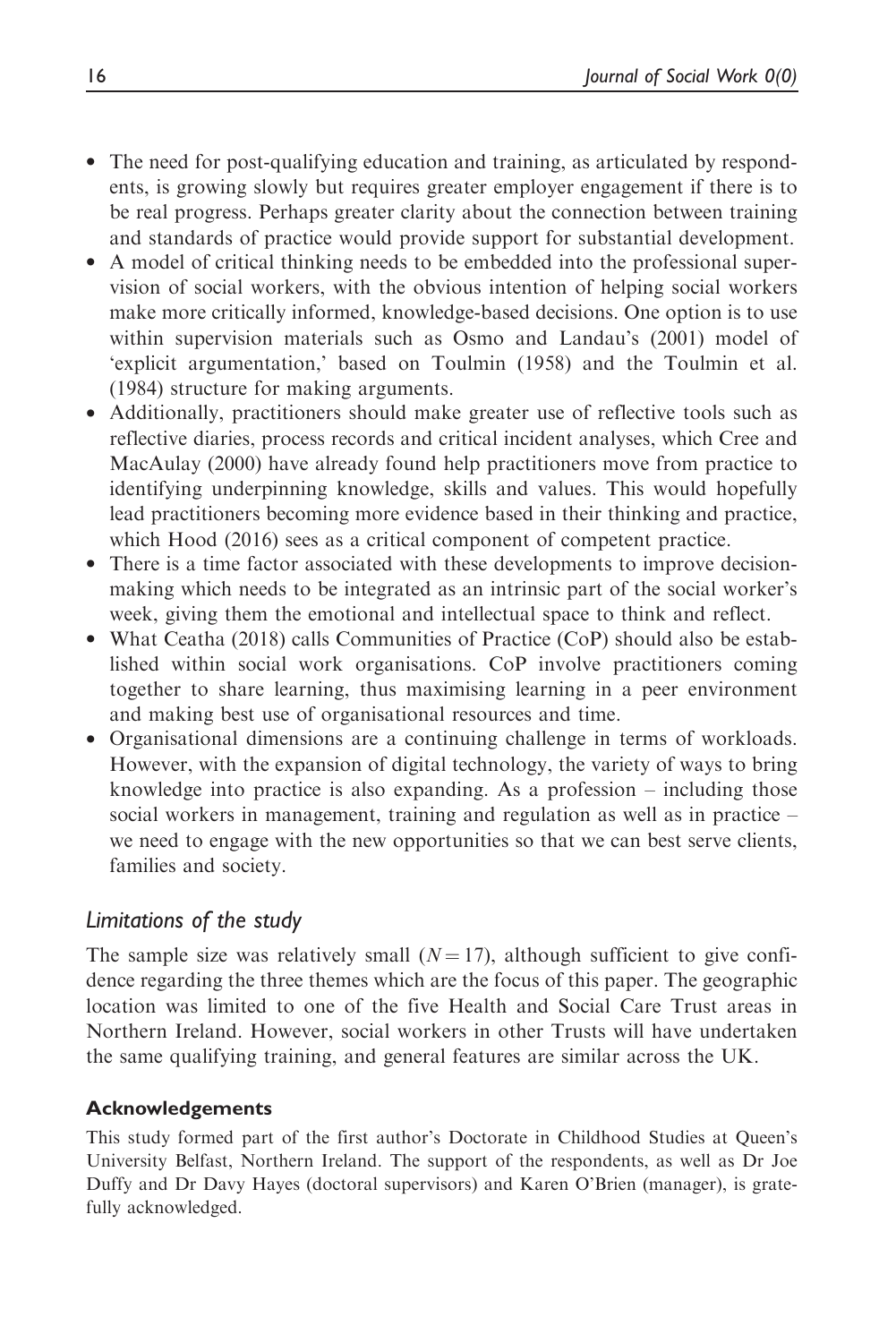- The need for post-qualifying education and training, as articulated by respondents, is growing slowly but requires greater employer engagement if there is to be real progress. Perhaps greater clarity about the connection between training and standards of practice would provide support for substantial development.
- A model of critical thinking needs to be embedded into the professional supervision of social workers, with the obvious intention of helping social workers make more critically informed, knowledge-based decisions. One option is to use within supervision materials such as Osmo and Landau's (2001) model of 'explicit argumentation,' based on Toulmin (1958) and the Toulmin et al. (1984) structure for making arguments.
- Additionally, practitioners should make greater use of reflective tools such as reflective diaries, process records and critical incident analyses, which Cree and MacAulay (2000) have already found help practitioners move from practice to identifying underpinning knowledge, skills and values. This would hopefully lead practitioners becoming more evidence based in their thinking and practice, which Hood (2016) sees as a critical component of competent practice.
- There is a time factor associated with these developments to improve decisionmaking which needs to be integrated as an intrinsic part of the social worker's week, giving them the emotional and intellectual space to think and reflect.
- What Ceatha (2018) calls Communities of Practice (CoP) should also be established within social work organisations. CoP involve practitioners coming together to share learning, thus maximising learning in a peer environment and making best use of organisational resources and time.
- Organisational dimensions are a continuing challenge in terms of workloads. However, with the expansion of digital technology, the variety of ways to bring knowledge into practice is also expanding. As a profession – including those social workers in management, training and regulation as well as in practice – we need to engage with the new opportunities so that we can best serve clients, families and society.

## Limitations of the study

The sample size was relatively small  $(N = 17)$ , although sufficient to give confidence regarding the three themes which are the focus of this paper. The geographic location was limited to one of the five Health and Social Care Trust areas in Northern Ireland. However, social workers in other Trusts will have undertaken the same qualifying training, and general features are similar across the UK.

## Acknowledgements

This study formed part of the first author's Doctorate in Childhood Studies at Queen's University Belfast, Northern Ireland. The support of the respondents, as well as Dr Joe Duffy and Dr Davy Hayes (doctoral supervisors) and Karen O'Brien (manager), is gratefully acknowledged.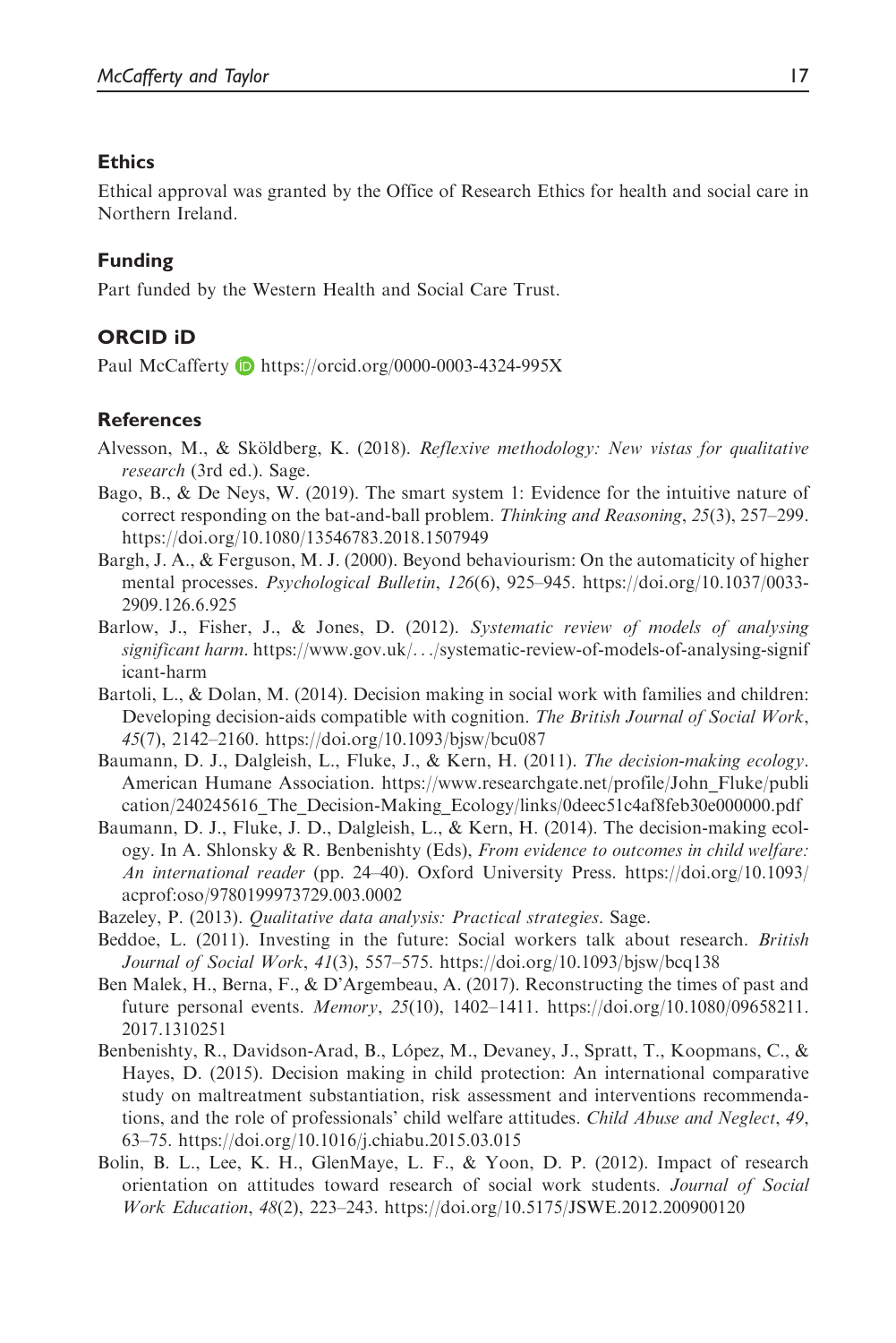#### **Ethics**

Ethical approval was granted by the Office of Research Ethics for health and social care in Northern Ireland.

#### Funding

Part funded by the Western Health and Social Care Trust.

## ORCID iD

Paul McCafferty D <https://orcid.org/0000-0003-4324-995X>

#### **References**

- Alvesson, M., & Sköldberg, K. (2018). Reflexive methodology: New vistas for qualitative research (3rd ed.). Sage.
- Bago, B., & De Neys, W. (2019). The smart system 1: Evidence for the intuitive nature of correct responding on the bat-and-ball problem. Thinking and Reasoning, 25(3), 257–299. <https://doi.org/10.1080/13546783.2018.1507949>
- Bargh, J. A., & Ferguson, M. J. (2000). Beyond behaviourism: On the automaticity of higher mental processes. Psychological Bulletin, 126(6), 925–945. [https://doi.org/10.1037/0033-](https://doi.org/10.1037/0033-2909.126.6.925) [2909.126.6.925](https://doi.org/10.1037/0033-2909.126.6.925)
- Barlow, J., Fisher, J., & Jones, D. (2012). Systematic review of models of analysing significant harm. [https://www.gov.uk/](https://www.gov.uk/&/systematic-review-of-models-of-analysing-significant-harm)...[/systematic-review-of-models-of-analysing-signif](https://www.gov.uk/&/systematic-review-of-models-of-analysing-significant-harm) [icant-harm](https://www.gov.uk/&/systematic-review-of-models-of-analysing-significant-harm)
- Bartoli, L., & Dolan, M. (2014). Decision making in social work with families and children: Developing decision-aids compatible with cognition. The British Journal of Social Work, 45(7), 2142–2160.<https://doi.org/10.1093/bjsw/bcu087>
- Baumann, D. J., Dalgleish, L., Fluke, J., & Kern, H. (2011). The decision-making ecology. American Humane Association. [https://www.researchgate.net/profile/John\\_Fluke/publi](https://www.researchgate.net/profile/John_Fluke/publication/240245616_The_Decision-Making_Ecology/links/0deec51c4af8feb30e000000.pdf) [cation/240245616\\_The\\_Decision-Making\\_Ecology/links/0deec51c4af8feb30e000000.pdf](https://www.researchgate.net/profile/John_Fluke/publication/240245616_The_Decision-Making_Ecology/links/0deec51c4af8feb30e000000.pdf)
- Baumann, D. J., Fluke, J. D., Dalgleish, L., & Kern, H. (2014). The decision-making ecology. In A. Shlonsky & R. Benbenishty (Eds), From evidence to outcomes in child welfare: An international reader (pp. 24–40). Oxford University Press. [https://doi.org/10.1093/](https://doi.org/10.1093/acprof:oso/9780199973729.003.0002) [acprof:oso/9780199973729.003.0002](https://doi.org/10.1093/acprof:oso/9780199973729.003.0002)
- Bazeley, P. (2013). Qualitative data analysis: Practical strategies. Sage.
- Beddoe, L. (2011). Investing in the future: Social workers talk about research. British Journal of Social Work, 41(3), 557–575.<https://doi.org/10.1093/bjsw/bcq138>
- Ben Malek, H., Berna, F., & D'Argembeau, A. (2017). Reconstructing the times of past and future personal events. Memory, 25(10), 1402–1411. [https://doi.org/10.1080/09658211.](https://doi.org/10.1080/09658211.2017.1310251) [2017.1310251](https://doi.org/10.1080/09658211.2017.1310251)
- Benbenishty, R., Davidson-Arad, B., López, M., Devaney, J., Spratt, T., Koopmans, C., & Hayes, D. (2015). Decision making in child protection: An international comparative study on maltreatment substantiation, risk assessment and interventions recommendations, and the role of professionals' child welfare attitudes. Child Abuse and Neglect, 49, 63–75.<https://doi.org/10.1016/j.chiabu.2015.03.015>
- Bolin, B. L., Lee, K. H., GlenMaye, L. F., & Yoon, D. P. (2012). Impact of research orientation on attitudes toward research of social work students. Journal of Social Work Education, 48(2), 223–243.<https://doi.org/10.5175/JSWE.2012.200900120>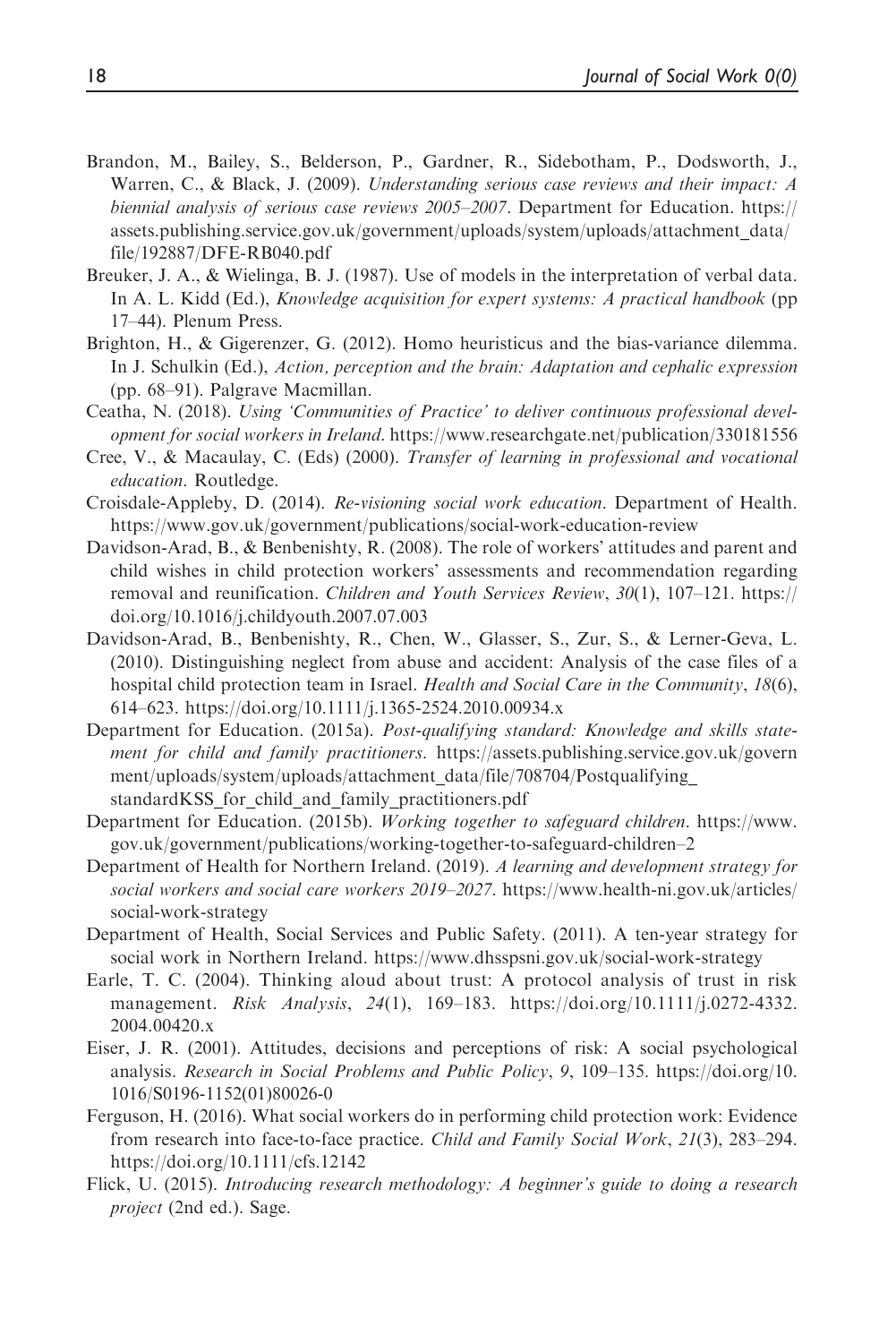- Brandon, M., Bailey, S., Belderson, P., Gardner, R., Sidebotham, P., Dodsworth, J., Warren, C., & Black, J. (2009). Understanding serious case reviews and their impact: A biennial analysis of serious case reviews 2005-2007. Department for Education. [https://](https://assets.publishing.service.gov.uk/government/uploads/system/uploads/attachment_data/file/192887/DFE-RB040.pdf) [assets.publishing.service.gov.uk/government/uploads/system/uploads/attachment\\_data/](https://assets.publishing.service.gov.uk/government/uploads/system/uploads/attachment_data/file/192887/DFE-RB040.pdf) [file/192887/DFE-RB040.pdf](https://assets.publishing.service.gov.uk/government/uploads/system/uploads/attachment_data/file/192887/DFE-RB040.pdf)
- Breuker, J. A., & Wielinga, B. J. (1987). Use of models in the interpretation of verbal data. In A. L. Kidd (Ed.), *Knowledge acquisition for expert systems: A practical handbook* (pp) 17–44). Plenum Press.
- Brighton, H., & Gigerenzer, G. (2012). Homo heuristicus and the bias-variance dilemma. In J. Schulkin (Ed.), Action, perception and the brain: Adaptation and cephalic expression (pp. 68–91). Palgrave Macmillan.
- Ceatha, N. (2018). Using 'Communities of Practice' to deliver continuous professional development for social workers in Ireland.<https://www.researchgate.net/publication/330181556>
- Cree, V., & Macaulay, C. (Eds) (2000). Transfer of learning in professional and vocational education. Routledge.
- Croisdale-Appleby, D. (2014). Re-visioning social work education. Department of Health. <https://www.gov.uk/government/publications/social-work-education-review>
- Davidson-Arad, B., & Benbenishty, R. (2008). The role of workers' attitudes and parent and child wishes in child protection workers' assessments and recommendation regarding removal and reunification. Children and Youth Services Review, 30(1), 107–121. [https://](https://doi.org/10.1016/j.childyouth.2007.07.003) [doi.org/10.1016/j.childyouth.2007.07.003](https://doi.org/10.1016/j.childyouth.2007.07.003)
- Davidson-Arad, B., Benbenishty, R., Chen, W., Glasser, S., Zur, S., & Lerner-Geva, L. (2010). Distinguishing neglect from abuse and accident: Analysis of the case files of a hospital child protection team in Israel. Health and Social Care in the Community, 18(6), 614–623.<https://doi.org/10.1111/j.1365-2524.2010.00934.x>
- Department for Education. (2015a). Post-qualifying standard: Knowledge and skills statement for child and family practitioners. [https://assets.publishing.service.gov.uk/govern](https://assets.publishing.service.gov.uk/government/uploads/system/uploads/attachment_data/file/708704/Postqualifying_standardKSS_for_child_and_family_practitioners.pdf) [ment/uploads/system/uploads/attachment\\_data/file/708704/Postqualifying\\_](https://assets.publishing.service.gov.uk/government/uploads/system/uploads/attachment_data/file/708704/Postqualifying_standardKSS_for_child_and_family_practitioners.pdf) standardKSS for child and family practitioners.pdf
- Department for Education. (2015b). Working together to safeguard children. [https://www.](https://www.gov.uk/government/publications/working-together-to-safeguard-children) [gov.uk/government/publications/working-together-to-safeguard-children](https://www.gov.uk/government/publications/working-together-to-safeguard-children)–2
- Department of Health for Northern Ireland. (2019). A learning and development strategy for social workers and social care workers 2019–2027. [https://www.health-ni.gov.uk/articles/](https://www.health-ni.gov.uk/articles/social-work-strategy) [social-work-strategy](https://www.health-ni.gov.uk/articles/social-work-strategy)
- Department of Health, Social Services and Public Safety. (2011). A ten-year strategy for social work in Northern Ireland.<https://www.dhsspsni.gov.uk/social-work-strategy>
- Earle, T. C. (2004). Thinking aloud about trust: A protocol analysis of trust in risk management. *Risk Analysis*, 24(1), 169–183. [https://doi.org/10.1111/j.0272-4332.](https://doi.org/10.1111/j.0272-4332.2004.00420.x) [2004.00420.x](https://doi.org/10.1111/j.0272-4332.2004.00420.x)
- Eiser, J. R. (2001). Attitudes, decisions and perceptions of risk: A social psychological analysis. Research in Social Problems and Public Policy, 9, 109–135. [https://doi.org/10.](https://doi.org/10.1016/S0196-1152(01)80026-0) [1016/S0196-1152\(01\)80026-0](https://doi.org/10.1016/S0196-1152(01)80026-0)
- Ferguson, H. (2016). What social workers do in performing child protection work: Evidence from research into face-to-face practice. Child and Family Social Work, 21(3), 283–294. <https://doi.org/10.1111/cfs.12142>
- Flick, U. (2015). Introducing research methodology: A beginner's guide to doing a research project (2nd ed.). Sage.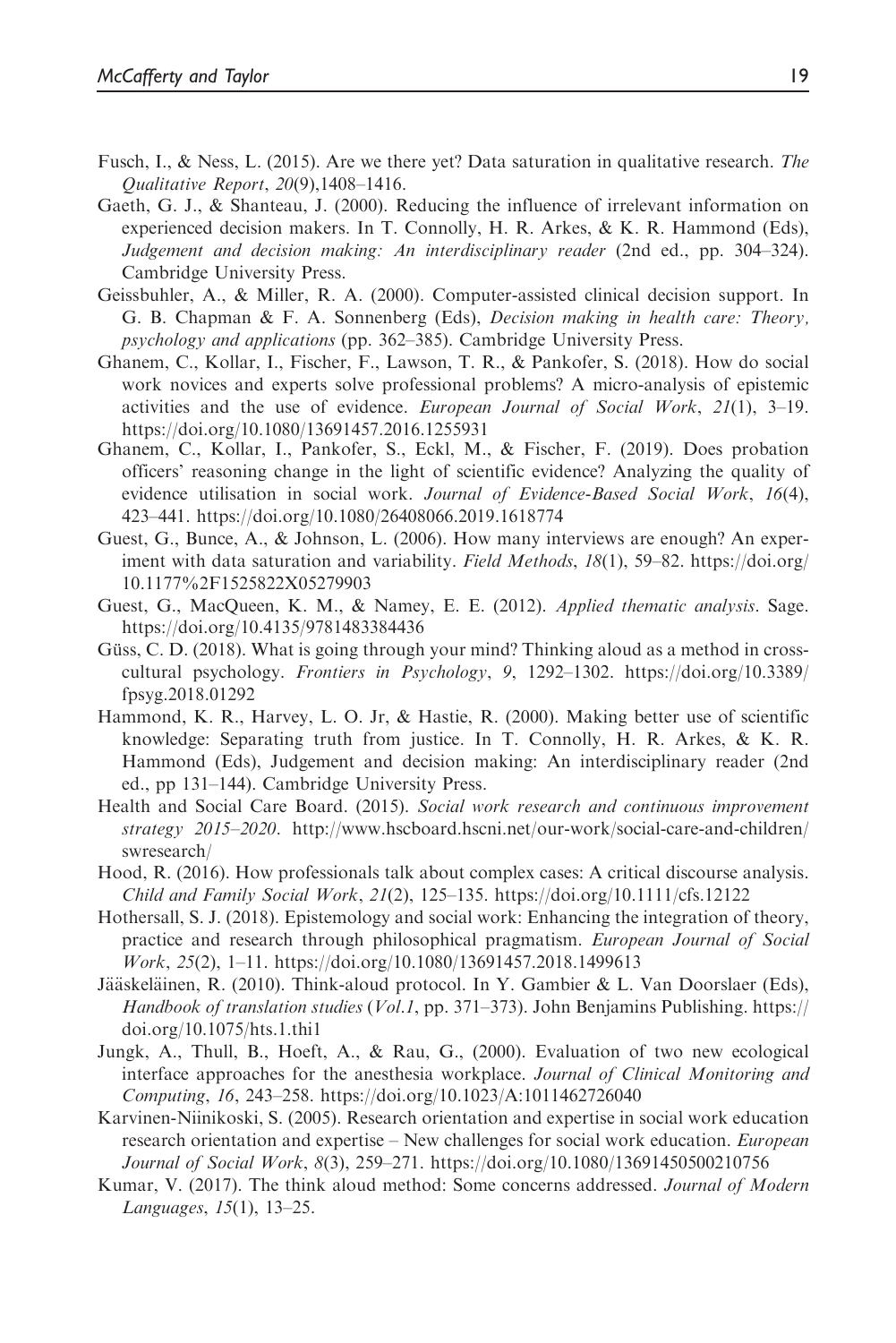- Fusch, I., & Ness, L. (2015). Are we there yet? Data saturation in qualitative research. The Qualitative Report, 20(9),1408–1416.
- Gaeth, G. J., & Shanteau, J. (2000). Reducing the influence of irrelevant information on experienced decision makers. In T. Connolly, H. R. Arkes, & K. R. Hammond (Eds), Judgement and decision making: An interdisciplinary reader (2nd ed., pp. 304–324). Cambridge University Press.
- Geissbuhler, A., & Miller, R. A. (2000). Computer-assisted clinical decision support. In G. B. Chapman & F. A. Sonnenberg (Eds), Decision making in health care: Theory, psychology and applications (pp. 362–385). Cambridge University Press.
- Ghanem, C., Kollar, I., Fischer, F., Lawson, T. R., & Pankofer, S. (2018). How do social work novices and experts solve professional problems? A micro-analysis of epistemic activities and the use of evidence. European Journal of Social Work,  $2I(1)$ ,  $3-19$ . <https://doi.org/10.1080/13691457.2016.1255931>
- Ghanem, C., Kollar, I., Pankofer, S., Eckl, M., & Fischer, F. (2019). Does probation officers' reasoning change in the light of scientific evidence? Analyzing the quality of evidence utilisation in social work. Journal of Evidence-Based Social Work, 16(4), 423–441.<https://doi.org/10.1080/26408066.2019.1618774>
- Guest, G., Bunce, A., & Johnson, L. (2006). How many interviews are enough? An experiment with data saturation and variability. Field Methods, 18(1), 59–82. [https://doi.org/](https://doi.org/10.1177%2F1525822X05279903) [10.1177%2F1525822X05279903](https://doi.org/10.1177%2F1525822X05279903)
- Guest, G., MacQueen, K. M., & Namey, E. E. (2012). Applied thematic analysis. Sage. <https://doi.org/10.4135/9781483384436>
- Güss, C. D. (2018). What is going through your mind? Thinking aloud as a method in crosscultural psychology. Frontiers in Psychology, 9, 1292–1302. [https://doi.org/10.3389/](https://doi.org/10.3389/fpsyg.2018.01292) [fpsyg.2018.01292](https://doi.org/10.3389/fpsyg.2018.01292)
- Hammond, K. R., Harvey, L. O. Jr, & Hastie, R. (2000). Making better use of scientific knowledge: Separating truth from justice. In T. Connolly, H. R. Arkes, & K. R. Hammond (Eds), Judgement and decision making: An interdisciplinary reader (2nd ed., pp 131–144). Cambridge University Press.
- Health and Social Care Board. (2015). Social work research and continuous improvement strategy 2015–2020. [http://www.hscboard.hscni.net/our-work/social-care-and-children/](http://www.hscboard.hscni.net/our-work/social-care-and-children/swresearch/) [swresearch/](http://www.hscboard.hscni.net/our-work/social-care-and-children/swresearch/)
- Hood, R. (2016). How professionals talk about complex cases: A critical discourse analysis. Child and Family Social Work, 21(2), 125–135.<https://doi.org/10.1111/cfs.12122>
- Hothersall, S. J. (2018). Epistemology and social work: Enhancing the integration of theory, practice and research through philosophical pragmatism. European Journal of Social Work, 25(2), 1–11.<https://doi.org/10.1080/13691457.2018.1499613>
- Jääskeläinen, R. (2010). Think-aloud protocol. In Y. Gambier & L. Van Doorslaer (Eds), Handbook of translation studies (Vol.1, pp. 371–373). John Benjamins Publishing. [https://](https://doi.org/10.1075/hts.1.thi1) [doi.org/10.1075/hts.1.thi1](https://doi.org/10.1075/hts.1.thi1)
- Jungk, A., Thull, B., Hoeft, A., & Rau, G., (2000). Evaluation of two new ecological interface approaches for the anesthesia workplace. Journal of Clinical Monitoring and Computing, 16, 243–258.<https://doi.org/10.1023/A:1011462726040>
- Karvinen-Niinikoski, S. (2005). Research orientation and expertise in social work education research orientation and expertise – New challenges for social work education. *European* Journal of Social Work, 8(3), 259–271.<https://doi.org/10.1080/13691450500210756>
- Kumar, V. (2017). The think aloud method: Some concerns addressed. Journal of Modern Languages, 15(1), 13–25.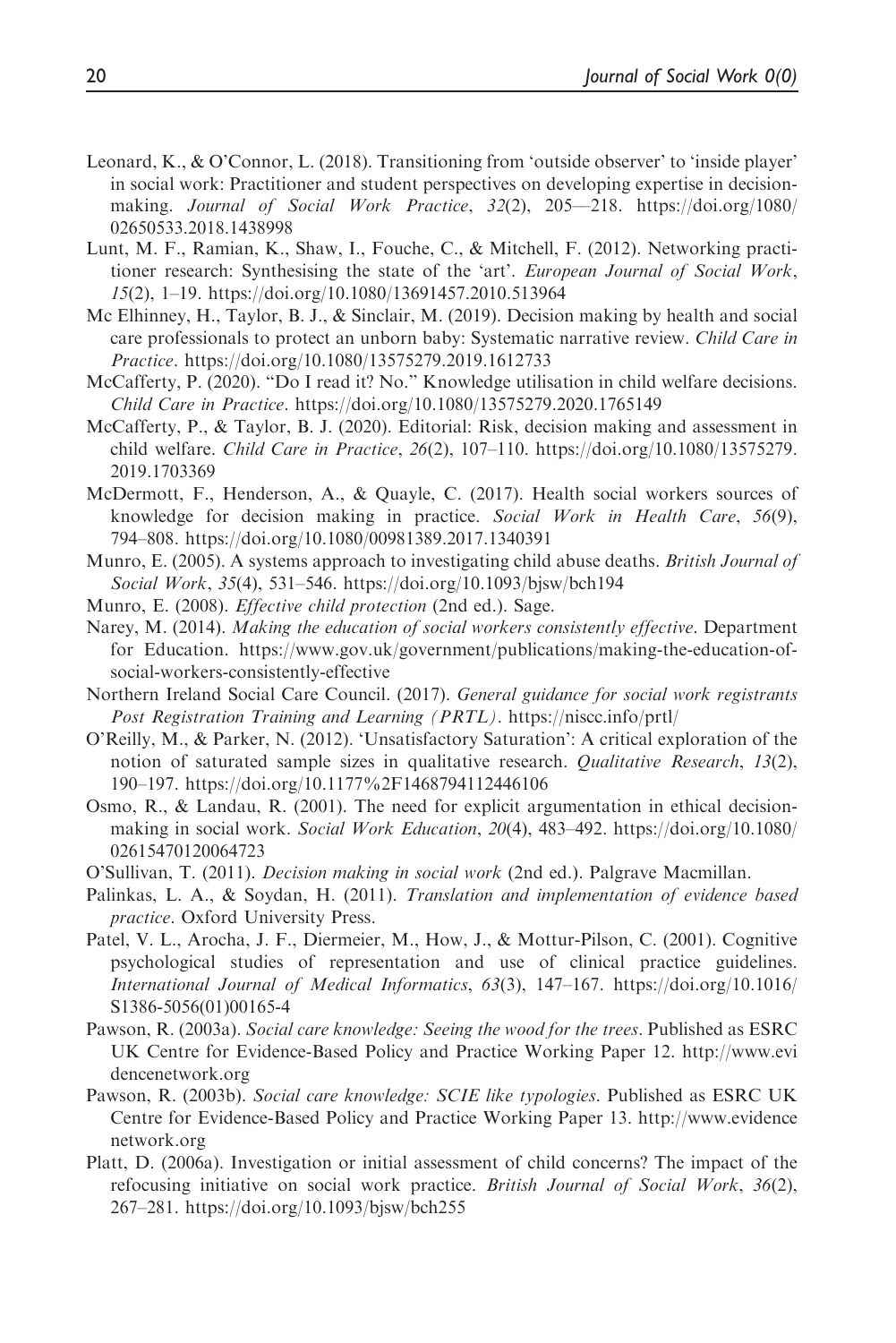- Leonard, K., & O'Connor, L. (2018). Transitioning from 'outside observer' to 'inside player' in social work: Practitioner and student perspectives on developing expertise in decisionmaking. Journal of Social Work Practice,  $32(2)$ ,  $205-218$ . [https://doi.org/1080/](https://doi.org/1080/02650533.2018.1438998) [02650533.2018.1438998](https://doi.org/1080/02650533.2018.1438998)
- Lunt, M. F., Ramian, K., Shaw, I., Fouche, C., & Mitchell, F. (2012). Networking practitioner research: Synthesising the state of the 'art'. European Journal of Social Work, 15(2), 1–19.<https://doi.org/10.1080/13691457.2010.513964>
- Mc Elhinney, H., Taylor, B. J., & Sinclair, M. (2019). Decision making by health and social care professionals to protect an unborn baby: Systematic narrative review. Child Care in Practice.<https://doi.org/10.1080/13575279.2019.1612733>
- McCafferty, P. (2020). "Do I read it? No." Knowledge utilisation in child welfare decisions. Child Care in Practice.<https://doi.org/10.1080/13575279.2020.1765149>
- McCafferty, P., & Taylor, B. J. (2020). Editorial: Risk, decision making and assessment in child welfare. Child Care in Practice, 26(2), 107–110. [https://doi.org/10.1080/13575279.](https://doi.org/10.1080/13575279.2019.1703369) [2019.1703369](https://doi.org/10.1080/13575279.2019.1703369)
- McDermott, F., Henderson, A., & Quayle, C. (2017). Health social workers sources of knowledge for decision making in practice. Social Work in Health Care, 56(9), 794–808.<https://doi.org/10.1080/00981389.2017.1340391>
- Munro, E. (2005). A systems approach to investigating child abuse deaths. *British Journal of* Social Work, 35(4), 531–546.<https://doi.org/10.1093/bjsw/bch194>
- Munro, E. (2008). *Effective child protection* (2nd ed.). Sage.
- Narey, M. (2014). Making the education of social workers consistently effective. Department for Education. [https://www.gov.uk/government/publications/making-the-education-of](https://www.gov.uk/government/publications/making-the-education-of-social-workers-consistently-effective)[social-workers-consistently-effective](https://www.gov.uk/government/publications/making-the-education-of-social-workers-consistently-effective)
- Northern Ireland Social Care Council. (2017). General guidance for social work registrants Post Registration Training and Learning (PRTL). <https://niscc.info/prtl/>
- O'Reilly, M., & Parker, N. (2012). 'Unsatisfactory Saturation': A critical exploration of the notion of saturated sample sizes in qualitative research. Qualitative Research, 13(2), 190–197.<https://doi.org/10.1177%2F1468794112446106>
- Osmo, R., & Landau, R. (2001). The need for explicit argumentation in ethical decisionmaking in social work. Social Work Education, 20(4), 483–492. [https://doi.org/10.1080/](https://doi.org/10.1080/02615470120064723) [02615470120064723](https://doi.org/10.1080/02615470120064723)
- O'Sullivan, T. (2011). Decision making in social work (2nd ed.). Palgrave Macmillan.
- Palinkas, L. A., & Soydan, H. (2011). Translation and implementation of evidence based practice. Oxford University Press.
- Patel, V. L., Arocha, J. F., Diermeier, M., How, J., & Mottur-Pilson, C. (2001). Cognitive psychological studies of representation and use of clinical practice guidelines. International Journal of Medical Informatics, 63(3), 147–167. [https://doi.org/10.1016/](https://doi.org/10.1016/S1386-5056(01)00165-4) [S1386-5056\(01\)00165-4](https://doi.org/10.1016/S1386-5056(01)00165-4)
- Pawson, R. (2003a). Social care knowledge: Seeing the wood for the trees. Published as ESRC UK Centre for Evidence-Based Policy and Practice Working Paper 12. [http://www.evi](http://www.evidencenetwork.org) [dencenetwork.org](http://www.evidencenetwork.org)
- Pawson, R. (2003b). Social care knowledge: SCIE like typologies. Published as ESRC UK Centre for Evidence-Based Policy and Practice Working Paper 13. [http://www.evidence](http://www.evidencenetwork.org) [network.org](http://www.evidencenetwork.org)
- Platt, D. (2006a). Investigation or initial assessment of child concerns? The impact of the refocusing initiative on social work practice. British Journal of Social Work, 36(2), 267–281.<https://doi.org/10.1093/bjsw/bch255>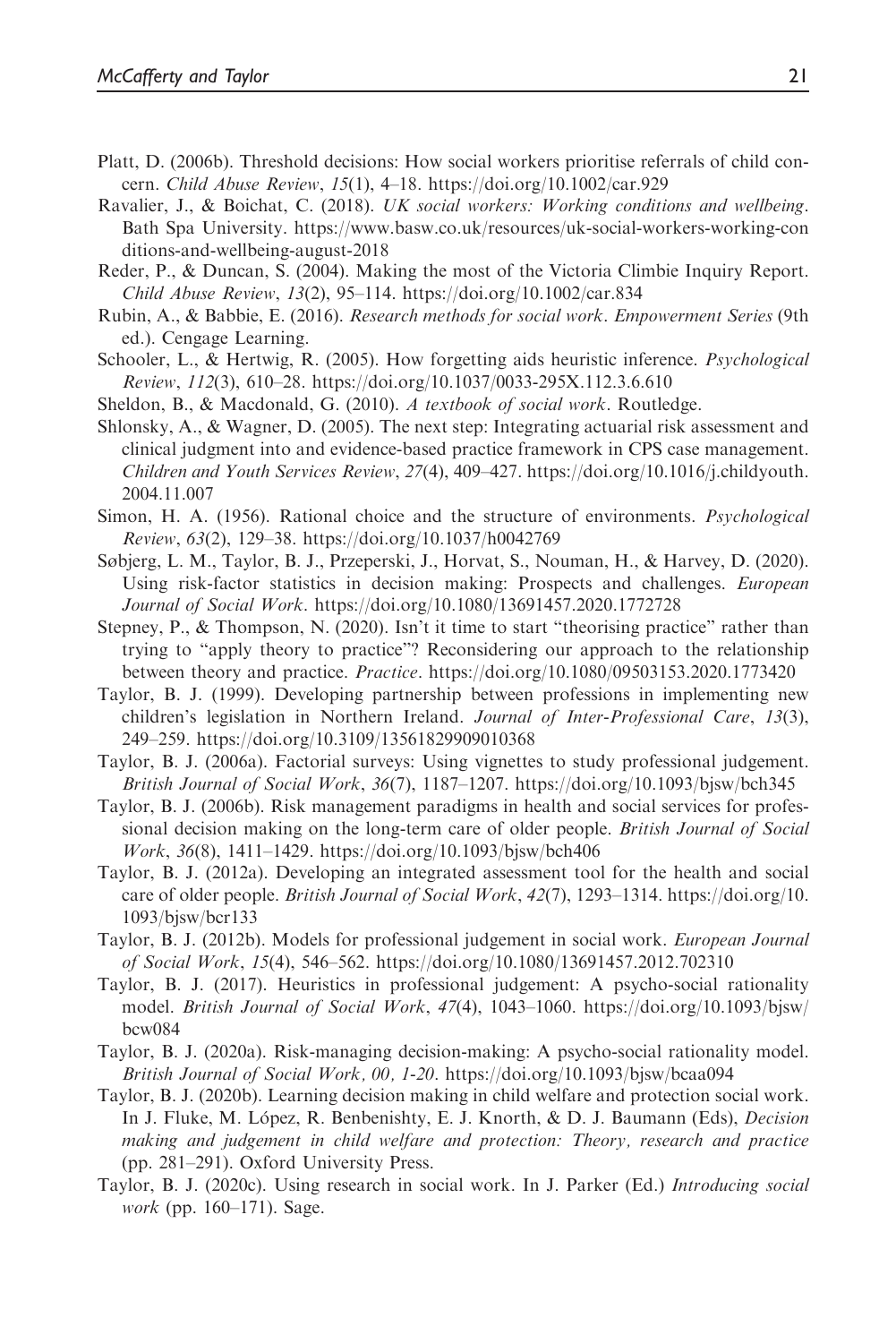- Platt, D. (2006b). Threshold decisions: How social workers prioritise referrals of child concern. Child Abuse Review, 15(1), 4–18.<https://doi.org/10.1002/car.929>
- Ravalier, J., & Boichat, C. (2018). UK social workers: Working conditions and wellbeing. Bath Spa University. [https://www.basw.co.uk/resources/uk-social-workers-working-con](https://www.basw.co.uk/resources/uk-social-workers-working-conditions-and-wellbeing-august-2018) [ditions-and-wellbeing-august-2018](https://www.basw.co.uk/resources/uk-social-workers-working-conditions-and-wellbeing-august-2018)
- Reder, P., & Duncan, S. (2004). Making the most of the Victoria Climbie Inquiry Report. Child Abuse Review, 13(2), 95–114.<https://doi.org/10.1002/car.834>
- Rubin, A., & Babbie, E. (2016). Research methods for social work. Empowerment Series (9th ed.). Cengage Learning.
- Schooler, L., & Hertwig, R. (2005). How forgetting aids heuristic inference. *Psychological* Review, 112(3), 610–28.<https://doi.org/10.1037/0033-295X.112.3.6.610>
- Sheldon, B., & Macdonald, G. (2010). A textbook of social work. Routledge.
- Shlonsky, A., & Wagner, D. (2005). The next step: Integrating actuarial risk assessment and clinical judgment into and evidence-based practice framework in CPS case management. Children and Youth Services Review, 27(4), 409–427. [https://doi.org/10.1016/j.childyouth.](https://doi.org/10.1016/j.childyouth.2004.11.007) [2004.11.007](https://doi.org/10.1016/j.childyouth.2004.11.007)
- Simon, H. A. (1956). Rational choice and the structure of environments. Psychological Review, 63(2), 129–38.<https://doi.org/10.1037/h0042769>
- Søbjerg, L. M., Taylor, B. J., Przeperski, J., Horvat, S., Nouman, H., & Harvey, D. (2020). Using risk-factor statistics in decision making: Prospects and challenges. European Journal of Social Work.<https://doi.org/10.1080/13691457.2020.1772728>
- Stepney, P., & Thompson, N. (2020). Isn't it time to start "theorising practice" rather than trying to "apply theory to practice"? Reconsidering our approach to the relationship between theory and practice. Practice.<https://doi.org/10.1080/09503153.2020.1773420>
- Taylor, B. J. (1999). Developing partnership between professions in implementing new children's legislation in Northern Ireland. Journal of Inter-Professional Care, 13(3), 249–259.<https://doi.org/10.3109/13561829909010368>
- Taylor, B. J. (2006a). Factorial surveys: Using vignettes to study professional judgement. British Journal of Social Work,  $36(7)$ , 1187–1207.<https://doi.org/10.1093/bjsw/bch345>
- Taylor, B. J. (2006b). Risk management paradigms in health and social services for professional decision making on the long-term care of older people. *British Journal of Social* Work, 36(8), 1411–1429.<https://doi.org/10.1093/bjsw/bch406>
- Taylor, B. J. (2012a). Developing an integrated assessment tool for the health and social care of older people. British Journal of Social Work, 42(7), 1293–1314. [https://doi.org/10.](https://doi.org/10.1093/bjsw/bcr133) [1093/bjsw/bcr133](https://doi.org/10.1093/bjsw/bcr133)
- Taylor, B. J. (2012b). Models for professional judgement in social work. European Journal of Social Work, 15(4), 546–562.<https://doi.org/10.1080/13691457.2012.702310>
- Taylor, B. J. (2017). Heuristics in professional judgement: A psycho-social rationality model. British Journal of Social Work, 47(4), 1043–1060. [https://doi.org/10.1093/bjsw/](https://doi.org/10.1093/bjsw/bcw084) [bcw084](https://doi.org/10.1093/bjsw/bcw084)
- Taylor, B. J. (2020a). Risk-managing decision-making: A psycho-social rationality model. British Journal of Social Work, 00, 1-20.<https://doi.org/10.1093/bjsw/bcaa094>
- Taylor, B. J. (2020b). Learning decision making in child welfare and protection social work. In J. Fluke, M. López, R. Benbenishty, E. J. Knorth, & D. J. Baumann (Eds), *Decision* making and judgement in child welfare and protection: Theory, research and practice (pp. 281–291). Oxford University Press.
- Taylor, B. J. (2020c). Using research in social work. In J. Parker (Ed.) Introducing social work (pp. 160–171). Sage.